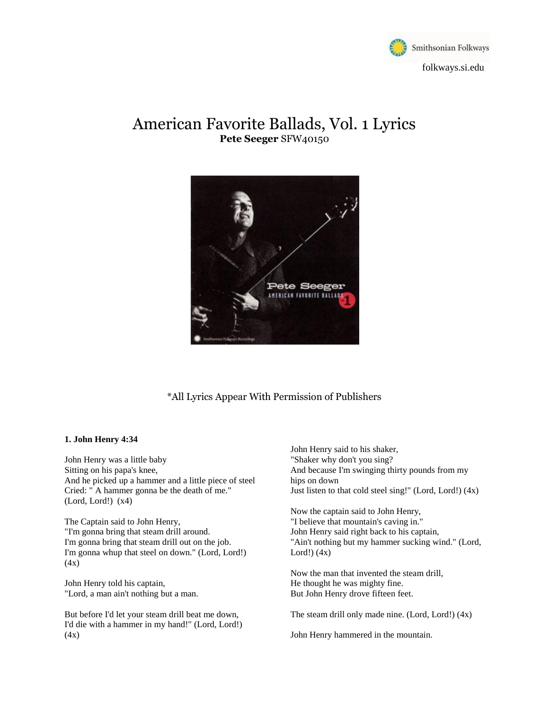

## American Favorite Ballads, Vol. 1 Lyrics **Pete Seeger** SFW40150



\*All Lyrics Appear With Permission of Publishers

### **1. John Henry 4:34**

John Henry was a little baby Sitting on his papa's knee, And he picked up a hammer and a little piece of steel Cried: " A hammer gonna be the death of me." (Lord, Lord!) (x4)

The Captain said to John Henry, "I'm gonna bring that steam drill around. I'm gonna bring that steam drill out on the job. I'm gonna whup that steel on down." (Lord, Lord!) (4x)

John Henry told his captain, "Lord, a man ain't nothing but a man.

But before I'd let your steam drill beat me down, I'd die with a hammer in my hand!" (Lord, Lord!) (4x)

John Henry said to his shaker, "Shaker why don't you sing? And because I'm swinging thirty pounds from my hips on down Just listen to that cold steel sing!" (Lord, Lord!) (4x)

Now the captain said to John Henry, "I believe that mountain's caving in." John Henry said right back to his captain, "Ain't nothing but my hammer sucking wind." (Lord, Lord! $(4x)$ 

Now the man that invented the steam drill, He thought he was mighty fine. But John Henry drove fifteen feet.

The steam drill only made nine. (Lord, Lord!) (4x)

John Henry hammered in the mountain.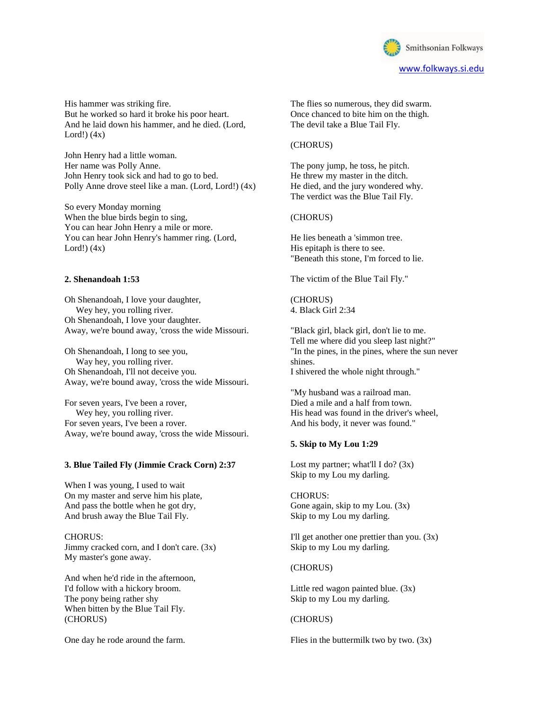

His hammer was striking fire. But he worked so hard it broke his poor heart. And he laid down his hammer, and he died. (Lord, Lord! $(4x)$ 

John Henry had a little woman. Her name was Polly Anne. John Henry took sick and had to go to bed. Polly Anne drove steel like a man. (Lord, Lord!) (4x)

So every Monday morning When the blue birds begin to sing, You can hear John Henry a mile or more. You can hear John Henry's hammer ring. (Lord, Lord! $(4x)$ 

### **2. Shenandoah 1:53**

Oh Shenandoah, I love your daughter, Wey hey, you rolling river. Oh Shenandoah, I love your daughter. Away, we're bound away, 'cross the wide Missouri.

Oh Shenandoah, I long to see you, Way hey, you rolling river. Oh Shenandoah, I'll not deceive you. Away, we're bound away, 'cross the wide Missouri.

For seven years, I've been a rover, Wey hey, you rolling river. For seven years, I've been a rover. Away, we're bound away, 'cross the wide Missouri.

#### **3. Blue Tailed Fly (Jimmie Crack Corn) 2:37**

When I was young, I used to wait On my master and serve him his plate, And pass the bottle when he got dry, And brush away the Blue Tail Fly.

### CHORUS:

Jimmy cracked corn, and I don't care. (3x) My master's gone away.

And when he'd ride in the afternoon, I'd follow with a hickory broom. The pony being rather shy When bitten by the Blue Tail Fly. (CHORUS)

One day he rode around the farm.

The flies so numerous, they did swarm. Once chanced to bite him on the thigh. The devil take a Blue Tail Fly.

### (CHORUS)

The pony jump, he toss, he pitch. He threw my master in the ditch. He died, and the jury wondered why. The verdict was the Blue Tail Fly.

### (CHORUS)

He lies beneath a 'simmon tree. His epitaph is there to see. "Beneath this stone, I'm forced to lie.

The victim of the Blue Tail Fly."

(CHORUS) 4. Black Girl 2:34

"Black girl, black girl, don't lie to me. Tell me where did you sleep last night?" "In the pines, in the pines, where the sun never shines. I shivered the whole night through."

"My husband was a railroad man. Died a mile and a half from town. His head was found in the driver's wheel, And his body, it never was found."

### **5. Skip to My Lou 1:29**

Lost my partner; what'll I do?  $(3x)$ Skip to my Lou my darling.

## CHORUS:

Gone again, skip to my Lou. (3x) Skip to my Lou my darling.

I'll get another one prettier than you.  $(3x)$ Skip to my Lou my darling.

### (CHORUS)

Little red wagon painted blue. (3x) Skip to my Lou my darling.

### (CHORUS)

Flies in the buttermilk two by two.  $(3x)$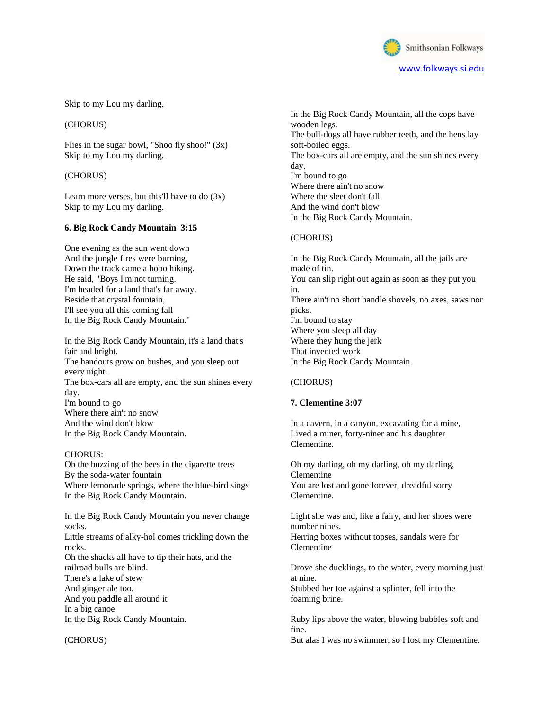

Skip to my Lou my darling.

### (CHORUS)

Flies in the sugar bowl, "Shoo fly shoo!"  $(3x)$ Skip to my Lou my darling.

### (CHORUS)

Learn more verses, but this'll have to do  $(3x)$ Skip to my Lou my darling.

### **6. Big Rock Candy Mountain 3:15**

One evening as the sun went down And the jungle fires were burning, Down the track came a hobo hiking. He said, "Boys I'm not turning. I'm headed for a land that's far away. Beside that crystal fountain, I'll see you all this coming fall In the Big Rock Candy Mountain."

In the Big Rock Candy Mountain, it's a land that's fair and bright. The handouts grow on bushes, and you sleep out every night. The box-cars all are empty, and the sun shines every day. I'm bound to go Where there ain't no snow And the wind don't blow In the Big Rock Candy Mountain.

### CHORUS:

Oh the buzzing of the bees in the cigarette trees By the soda-water fountain Where lemonade springs, where the blue-bird sings In the Big Rock Candy Mountain.

In the Big Rock Candy Mountain you never change socks. Little streams of alky-hol comes trickling down the rocks. Oh the shacks all have to tip their hats, and the railroad bulls are blind. There's a lake of stew And ginger ale too. And you paddle all around it In a big canoe In the Big Rock Candy Mountain.

(CHORUS)

In the Big Rock Candy Mountain, all the cops have wooden legs. The bull-dogs all have rubber teeth, and the hens lay soft-boiled eggs. The box-cars all are empty, and the sun shines every day. I'm bound to go Where there ain't no snow Where the sleet don't fall And the wind don't blow In the Big Rock Candy Mountain.

### (CHORUS)

In the Big Rock Candy Mountain, all the jails are made of tin. You can slip right out again as soon as they put you in. There ain't no short handle shovels, no axes, saws nor picks. I'm bound to stay Where you sleep all day Where they hung the jerk That invented work In the Big Rock Candy Mountain.

### (CHORUS)

### **7. Clementine 3:07**

In a cavern, in a canyon, excavating for a mine, Lived a miner, forty-niner and his daughter Clementine.

Oh my darling, oh my darling, oh my darling, Clementine You are lost and gone forever, dreadful sorry Clementine.

Light she was and, like a fairy, and her shoes were number nines.

Herring boxes without topses, sandals were for Clementine

Drove she ducklings, to the water, every morning just at nine. Stubbed her toe against a splinter, fell into the foaming brine.

Ruby lips above the water, blowing bubbles soft and fine.

But alas I was no swimmer, so I lost my Clementine.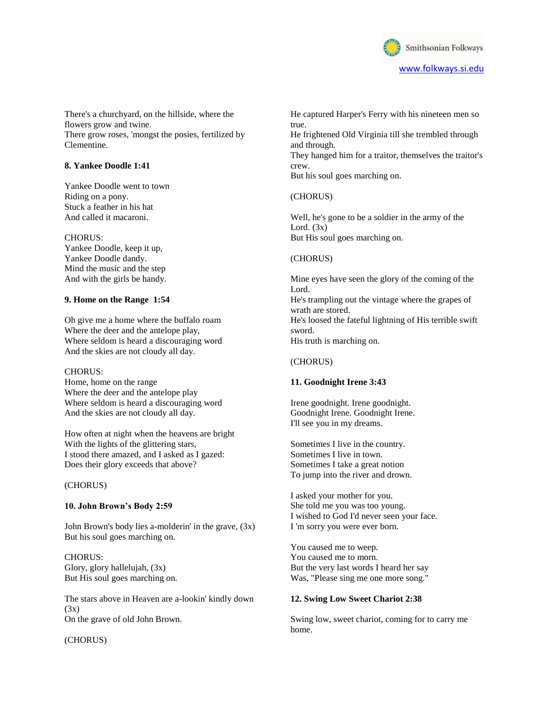

There's a churchyard, on the hillside, where the flowers grow and twine. There grow roses, 'mongst the posies, fertilized by Clementine.

### **8. Yankee Doodle 1:41**

Yankee Doodle went to town Riding on a pony. Stuck a feather in his hat And called it macaroni.

CHORUS:

Yankee Doodle, keep it up, Yankee Doodle dandy. Mind the music and the step And with the girls be handy.

### **9. Home on the Range 1:54**

Oh give me a home where the buffalo roam Where the deer and the antelope play, Where seldom is heard a discouraging word And the skies are not cloudy all day.

### CHORUS:

Home, home on the range Where the deer and the antelope play Where seldom is heard a discouraging word And the skies are not cloudy all day.

How often at night when the heavens are bright With the lights of the glittering stars, I stood there amazed, and I asked as I gazed: Does their glory exceeds that above?

### (CHORUS)

### **10. John Brown's Body 2:59**

John Brown's body lies a-molderin' in the grave,  $(3x)$ But his soul goes marching on.

CHORUS: Glory, glory hallelujah, (3x) But His soul goes marching on.

The stars above in Heaven are a-lookin' kindly down  $(3x)$ On the grave of old John Brown.

### (CHORUS)

He captured Harper's Ferry with his nineteen men so true. He frightened Old Virginia till she trembled through and through. They hanged him for a traitor, themselves the traitor's crew. But his soul goes marching on.

### (CHORUS)

Well, he's gone to be a soldier in the army of the Lord.  $(3x)$ But His soul goes marching on.

### (CHORUS)

Mine eyes have seen the glory of the coming of the Lord. He's trampling out the vintage where the grapes of wrath are stored. He's loosed the fateful lightning of His terrible swift sword. His truth is marching on.

### (CHORUS)

### **11. Goodnight Irene 3:43**

Irene goodnight. Irene goodnight. Goodnight Irene. Goodnight Irene. I'll see you in my dreams.

Sometimes I live in the country. Sometimes I live in town. Sometimes I take a great notion To jump into the river and drown.

I asked your mother for you. She told me you was too young. I wished to God I'd never seen your face. I 'm sorry you were ever born.

You caused me to weep. You caused me to morn. But the very last words I heard her say Was, "Please sing me one more song."

### **12. Swing Low Sweet Chariot 2:38**

Swing low, sweet chariot, coming for to carry me home.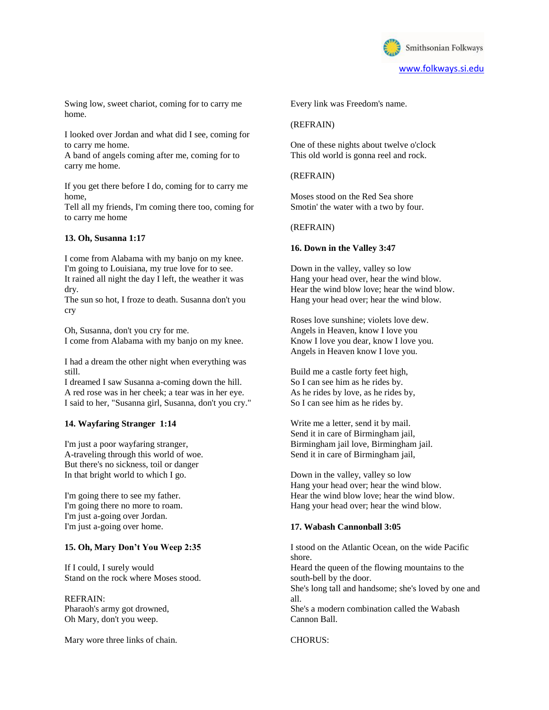

Swing low, sweet chariot, coming for to carry me home.

I looked over Jordan and what did I see, coming for to carry me home.

A band of angels coming after me, coming for to carry me home.

If you get there before I do, coming for to carry me home,

Tell all my friends, I'm coming there too, coming for to carry me home

### **13. Oh, Susanna 1:17**

I come from Alabama with my banjo on my knee. I'm going to Louisiana, my true love for to see. It rained all night the day I left, the weather it was dry.

The sun so hot, I froze to death. Susanna don't you cry

Oh, Susanna, don't you cry for me. I come from Alabama with my banjo on my knee.

I had a dream the other night when everything was still.

I dreamed I saw Susanna a-coming down the hill. A red rose was in her cheek; a tear was in her eye. I said to her, "Susanna girl, Susanna, don't you cry."

### **14. Wayfaring Stranger 1:14**

I'm just a poor wayfaring stranger, A-traveling through this world of woe. But there's no sickness, toil or danger In that bright world to which I go.

I'm going there to see my father. I'm going there no more to roam. I'm just a-going over Jordan. I'm just a-going over home.

### **15. Oh, Mary Don't You Weep 2:35**

If I could, I surely would Stand on the rock where Moses stood.

REFRAIN: Pharaoh's army got drowned, Oh Mary, don't you weep.

Mary wore three links of chain.

Every link was Freedom's name.

### (REFRAIN)

One of these nights about twelve o'clock This old world is gonna reel and rock.

### (REFRAIN)

Moses stood on the Red Sea shore Smotin' the water with a two by four.

### (REFRAIN)

### **16. Down in the Valley 3:47**

Down in the valley, valley so low Hang your head over, hear the wind blow. Hear the wind blow love; hear the wind blow. Hang your head over; hear the wind blow.

Roses love sunshine; violets love dew. Angels in Heaven, know I love you Know I love you dear, know I love you. Angels in Heaven know I love you.

Build me a castle forty feet high, So I can see him as he rides by. As he rides by love, as he rides by, So I can see him as he rides by.

Write me a letter, send it by mail. Send it in care of Birmingham jail, Birmingham jail love, Birmingham jail. Send it in care of Birmingham jail,

Down in the valley, valley so low Hang your head over; hear the wind blow. Hear the wind blow love; hear the wind blow. Hang your head over; hear the wind blow.

### **17. Wabash Cannonball 3:05**

I stood on the Atlantic Ocean, on the wide Pacific shore. Heard the queen of the flowing mountains to the south-bell by the door. She's long tall and handsome; she's loved by one and all. She's a modern combination called the Wabash Cannon Ball.

CHORUS: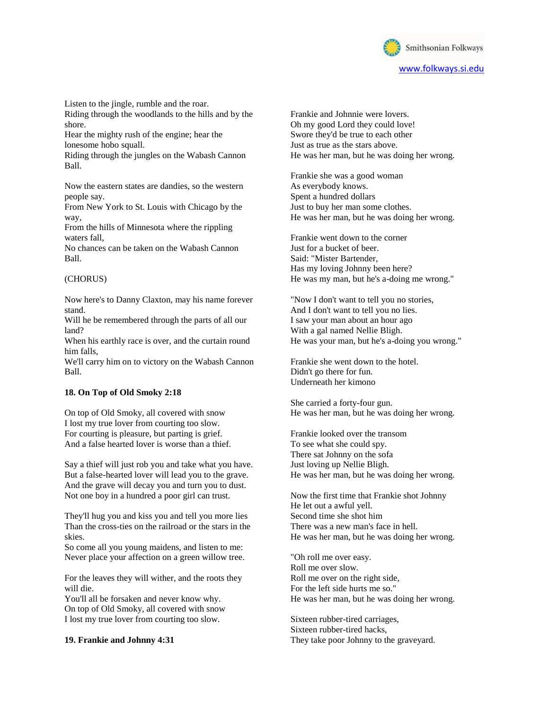

Listen to the jingle, rumble and the roar. Riding through the woodlands to the hills and by the shore.

Hear the mighty rush of the engine; hear the lonesome hobo squall.

Riding through the jungles on the Wabash Cannon Ball.

Now the eastern states are dandies, so the western people say.

From New York to St. Louis with Chicago by the way,

From the hills of Minnesota where the rippling waters fall,

No chances can be taken on the Wabash Cannon Ball.

### (CHORUS)

Now here's to Danny Claxton, may his name forever stand.

Will he be remembered through the parts of all our land?

When his earthly race is over, and the curtain round him falls,

We'll carry him on to victory on the Wabash Cannon Ball.

### **18. On Top of Old Smoky 2:18**

On top of Old Smoky, all covered with snow I lost my true lover from courting too slow. For courting is pleasure, but parting is grief. And a false hearted lover is worse than a thief.

Say a thief will just rob you and take what you have. But a false-hearted lover will lead you to the grave. And the grave will decay you and turn you to dust. Not one boy in a hundred a poor girl can trust.

They'll hug you and kiss you and tell you more lies Than the cross-ties on the railroad or the stars in the skies.

So come all you young maidens, and listen to me: Never place your affection on a green willow tree.

For the leaves they will wither, and the roots they will die.

You'll all be forsaken and never know why. On top of Old Smoky, all covered with snow I lost my true lover from courting too slow.

### **19. Frankie and Johnny 4:31**

Frankie and Johnnie were lovers. Oh my good Lord they could love! Swore they'd be true to each other Just as true as the stars above. He was her man, but he was doing her wrong.

Frankie she was a good woman As everybody knows. Spent a hundred dollars Just to buy her man some clothes. He was her man, but he was doing her wrong.

Frankie went down to the corner Just for a bucket of beer. Said: "Mister Bartender, Has my loving Johnny been here? He was my man, but he's a-doing me wrong."

"Now I don't want to tell you no stories, And I don't want to tell you no lies. I saw your man about an hour ago With a gal named Nellie Bligh. He was your man, but he's a-doing you wrong."

Frankie she went down to the hotel. Didn't go there for fun. Underneath her kimono

She carried a forty-four gun. He was her man, but he was doing her wrong.

Frankie looked over the transom To see what she could spy. There sat Johnny on the sofa Just loving up Nellie Bligh. He was her man, but he was doing her wrong.

Now the first time that Frankie shot Johnny He let out a awful yell. Second time she shot him There was a new man's face in hell. He was her man, but he was doing her wrong.

"Oh roll me over easy. Roll me over slow. Roll me over on the right side, For the left side hurts me so." He was her man, but he was doing her wrong.

Sixteen rubber-tired carriages, Sixteen rubber-tired hacks, They take poor Johnny to the graveyard.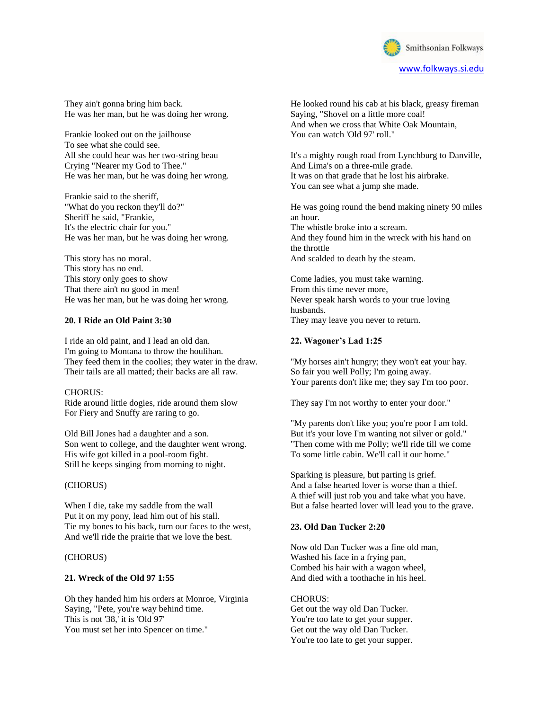

They ain't gonna bring him back. He was her man, but he was doing her wrong.

Frankie looked out on the jailhouse To see what she could see. All she could hear was her two-string beau Crying "Nearer my God to Thee." He was her man, but he was doing her wrong.

Frankie said to the sheriff, "What do you reckon they'll do?" Sheriff he said, "Frankie, It's the electric chair for you." He was her man, but he was doing her wrong.

This story has no moral. This story has no end. This story only goes to show That there ain't no good in men! He was her man, but he was doing her wrong.

### **20. I Ride an Old Paint 3:30**

I ride an old paint, and I lead an old dan. I'm going to Montana to throw the houlihan. They feed them in the coolies; they water in the draw. Their tails are all matted; their backs are all raw.

### CHORUS:

Ride around little dogies, ride around them slow For Fiery and Snuffy are raring to go.

Old Bill Jones had a daughter and a son. Son went to college, and the daughter went wrong. His wife got killed in a pool-room fight. Still he keeps singing from morning to night.

### (CHORUS)

When I die, take my saddle from the wall Put it on my pony, lead him out of his stall. Tie my bones to his back, turn our faces to the west, And we'll ride the prairie that we love the best.

### (CHORUS)

### **21. Wreck of the Old 97 1:55**

Oh they handed him his orders at Monroe, Virginia Saying, "Pete, you're way behind time. This is not '38,' it is 'Old 97' You must set her into Spencer on time."

He looked round his cab at his black, greasy fireman Saying, "Shovel on a little more coal! And when we cross that White Oak Mountain, You can watch 'Old 97' roll."

It's a mighty rough road from Lynchburg to Danville, And Lima's on a three-mile grade. It was on that grade that he lost his airbrake. You can see what a jump she made.

He was going round the bend making ninety 90 miles an hour. The whistle broke into a scream. And they found him in the wreck with his hand on the throttle And scalded to death by the steam.

Come ladies, you must take warning. From this time never more, Never speak harsh words to your true loving husbands. They may leave you never to return.

### **22. Wagoner's Lad 1:25**

"My horses ain't hungry; they won't eat your hay. So fair you well Polly; I'm going away. Your parents don't like me; they say I'm too poor.

They say I'm not worthy to enter your door."

"My parents don't like you; you're poor I am told. But it's your love I'm wanting not silver or gold." "Then come with me Polly; we'll ride till we come To some little cabin. We'll call it our home."

Sparking is pleasure, but parting is grief. And a false hearted lover is worse than a thief. A thief will just rob you and take what you have. But a false hearted lover will lead you to the grave.

### **23. Old Dan Tucker 2:20**

Now old Dan Tucker was a fine old man, Washed his face in a frying pan, Combed his hair with a wagon wheel, And died with a toothache in his heel.

### CHORUS:

Get out the way old Dan Tucker. You're too late to get your supper. Get out the way old Dan Tucker. You're too late to get your supper.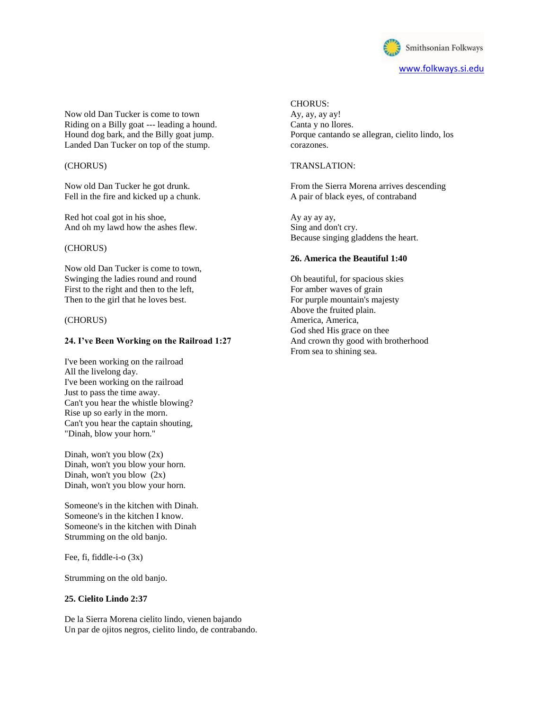

Now old Dan Tucker is come to town Riding on a Billy goat --- leading a hound. Hound dog bark, and the Billy goat jump. Landed Dan Tucker on top of the stump.

### (CHORUS)

Now old Dan Tucker he got drunk. Fell in the fire and kicked up a chunk.

Red hot coal got in his shoe, And oh my lawd how the ashes flew.

### (CHORUS)

Now old Dan Tucker is come to town, Swinging the ladies round and round First to the right and then to the left, Then to the girl that he loves best.

### (CHORUS)

### **24. I've Been Working on the Railroad 1:27**

I've been working on the railroad All the livelong day. I've been working on the railroad Just to pass the time away. Can't you hear the whistle blowing? Rise up so early in the morn. Can't you hear the captain shouting, "Dinah, blow your horn."

Dinah, won't you blow (2x) Dinah, won't you blow your horn. Dinah, won't you blow (2x) Dinah, won't you blow your horn.

Someone's in the kitchen with Dinah. Someone's in the kitchen I know. Someone's in the kitchen with Dinah Strumming on the old banjo.

Fee, fi, fiddle-i-o (3x)

Strumming on the old banjo.

### **25. Cielito Lindo 2:37**

De la Sierra Morena cielito lindo, vienen bajando Un par de ojitos negros, cielito lindo, de contrabando.

### CHORUS:

Ay, ay, ay ay! Canta y no llores. Porque cantando se allegran, cielito lindo, los corazones.

### TRANSLATION:

From the Sierra Morena arrives descending A pair of black eyes, of contraband

Ay ay ay ay, Sing and don't cry. Because singing gladdens the heart.

### **26. America the Beautiful 1:40**

Oh beautiful, for spacious skies For amber waves of grain For purple mountain's majesty Above the fruited plain. America, America, God shed His grace on thee And crown thy good with brotherhood From sea to shining sea.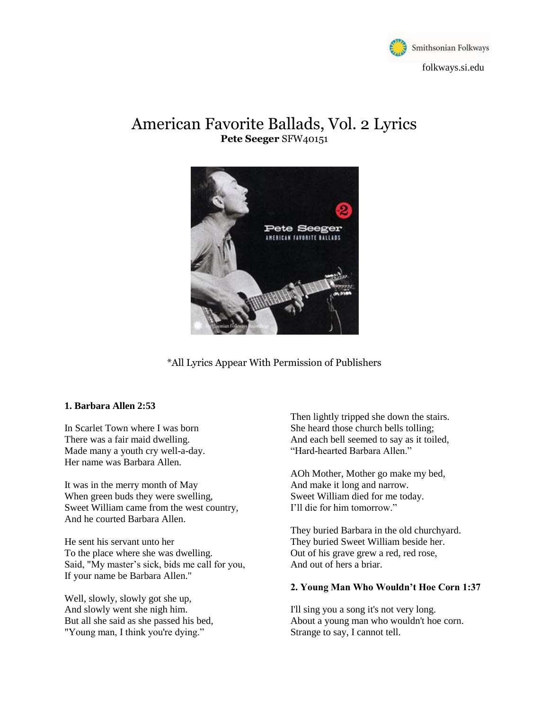

# American Favorite Ballads, Vol. 2 Lyrics **Pete Seeger** SFW40151



\*All Lyrics Appear With Permission of Publishers

## **1. Barbara Allen 2:53**

In Scarlet Town where I was born There was a fair maid dwelling. Made many a youth cry well-a-day. Her name was Barbara Allen.

It was in the merry month of May When green buds they were swelling, Sweet William came from the west country, And he courted Barbara Allen.

He sent his servant unto her To the place where she was dwelling. Said, "My master's sick, bids me call for you, If your name be Barbara Allen."

Well, slowly, slowly got she up, And slowly went she nigh him. But all she said as she passed his bed, "Young man, I think you're dying."

Then lightly tripped she down the stairs. She heard those church bells tolling; And each bell seemed to say as it toiled, "Hard-hearted Barbara Allen."

AOh Mother, Mother go make my bed, And make it long and narrow. Sweet William died for me today. I"ll die for him tomorrow."

They buried Barbara in the old churchyard. They buried Sweet William beside her. Out of his grave grew a red, red rose, And out of hers a briar.

## **2. Young Man Who Wouldn't Hoe Corn 1:37**

I'll sing you a song it's not very long. About a young man who wouldn't hoe corn. Strange to say, I cannot tell.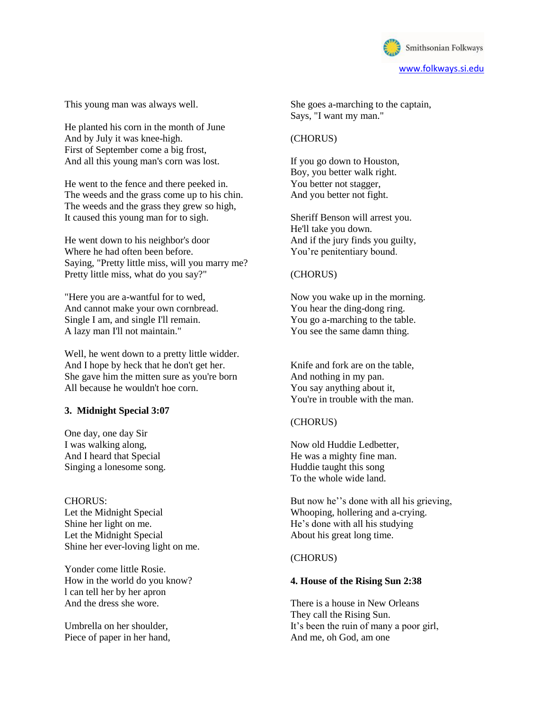

This young man was always well.

He planted his corn in the month of June And by July it was knee-high. First of September come a big frost, And all this young man's corn was lost.

He went to the fence and there peeked in. The weeds and the grass come up to his chin. The weeds and the grass they grew so high, It caused this young man for to sigh.

He went down to his neighbor's door Where he had often been before. Saying, "Pretty little miss, will you marry me? Pretty little miss, what do you say?"

"Here you are a-wantful for to wed, And cannot make your own cornbread. Single I am, and single I'll remain. A lazy man I'll not maintain."

Well, he went down to a pretty little widder. And I hope by heck that he don't get her. She gave him the mitten sure as you're born All because he wouldn't hoe corn.

### **3. Midnight Special 3:07**

One day, one day Sir I was walking along, And I heard that Special Singing a lonesome song.

CHORUS: Let the Midnight Special Shine her light on me. Let the Midnight Special Shine her ever-loving light on me.

Yonder come little Rosie. How in the world do you know? l can tell her by her apron And the dress she wore.

Umbrella on her shoulder, Piece of paper in her hand, She goes a-marching to the captain, Says, "I want my man."

## (CHORUS)

If you go down to Houston, Boy, you better walk right. You better not stagger, And you better not fight.

Sheriff Benson will arrest you. He'll take you down. And if the jury finds you guilty, You"re penitentiary bound.

### (CHORUS)

Now you wake up in the morning. You hear the ding-dong ring. You go a-marching to the table. You see the same damn thing.

Knife and fork are on the table, And nothing in my pan. You say anything about it, You're in trouble with the man.

## (CHORUS)

Now old Huddie Ledbetter, He was a mighty fine man. Huddie taught this song To the whole wide land.

But now he''s done with all his grieving, Whooping, hollering and a-crying. He"s done with all his studying About his great long time.

## (CHORUS)

### **4. House of the Rising Sun 2:38**

There is a house in New Orleans They call the Rising Sun. It's been the ruin of many a poor girl, And me, oh God, am one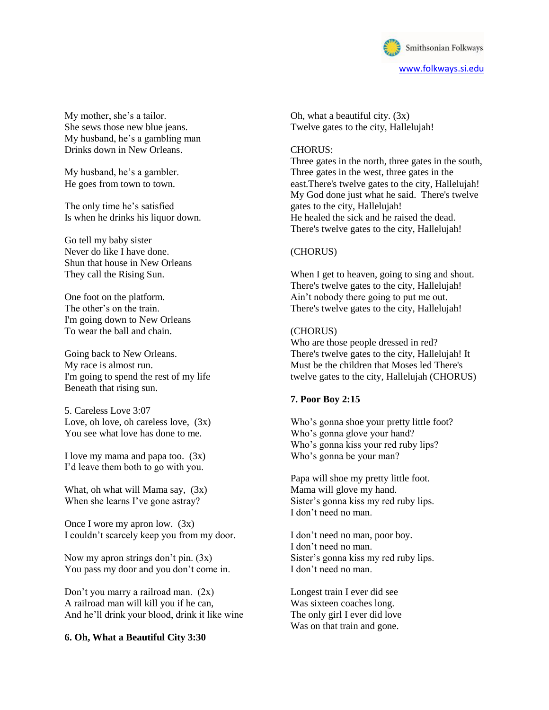

My mother, she's a tailor. She sews those new blue jeans. My husband, he's a gambling man Drinks down in New Orleans.

My husband, he's a gambler. He goes from town to town.

The only time he's satisfied Is when he drinks his liquor down.

Go tell my baby sister Never do like I have done. Shun that house in New Orleans They call the Rising Sun.

One foot on the platform. The other's on the train. I'm going down to New Orleans To wear the ball and chain.

Going back to New Orleans. My race is almost run. I'm going to spend the rest of my life Beneath that rising sun.

5. Careless Love 3:07 Love, oh love, oh careless love,  $(3x)$ You see what love has done to me.

I love my mama and papa too.  $(3x)$ I"d leave them both to go with you.

What, oh what will Mama say,  $(3x)$ When she learns I've gone astray?

Once I wore my apron low.  $(3x)$ I couldn"t scarcely keep you from my door.

Now my apron strings don't pin.  $(3x)$ You pass my door and you don't come in.

Don't you marry a railroad man. (2x) A railroad man will kill you if he can, And he"ll drink your blood, drink it like wine

### **6. Oh, What a Beautiful City 3:30**

Oh, what a beautiful city.  $(3x)$ Twelve gates to the city, Hallelujah!

### CHORUS:

Three gates in the north, three gates in the south, Three gates in the west, three gates in the east.There's twelve gates to the city, Hallelujah! My God done just what he said. There's twelve gates to the city, Hallelujah! He healed the sick and he raised the dead. There's twelve gates to the city, Hallelujah!

### (CHORUS)

When I get to heaven, going to sing and shout. There's twelve gates to the city, Hallelujah! Ain"t nobody there going to put me out. There's twelve gates to the city, Hallelujah!

### (CHORUS)

Who are those people dressed in red? There's twelve gates to the city, Hallelujah! It Must be the children that Moses led There's twelve gates to the city, Hallelujah (CHORUS)

## **7. Poor Boy 2:15**

Who"s gonna shoe your pretty little foot? Who"s gonna glove your hand? Who's gonna kiss your red ruby lips? Who"s gonna be your man?

Papa will shoe my pretty little foot. Mama will glove my hand. Sister's gonna kiss my red ruby lips. I don"t need no man.

I don"t need no man, poor boy. I don"t need no man. Sister's gonna kiss my red ruby lips. I don"t need no man.

Longest train I ever did see Was sixteen coaches long. The only girl I ever did love Was on that train and gone.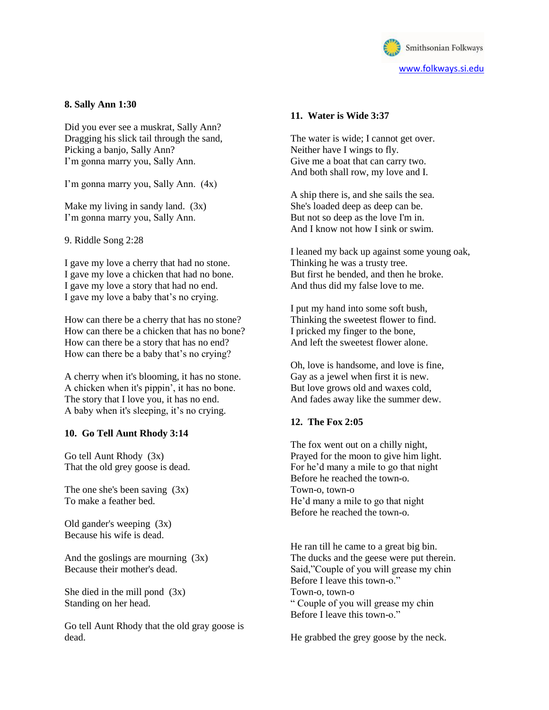

## **8. Sally Ann 1:30**

Did you ever see a muskrat, Sally Ann? Dragging his slick tail through the sand, Picking a banjo, Sally Ann? I"m gonna marry you, Sally Ann.

I"m gonna marry you, Sally Ann. (4x)

Make my living in sandy land.  $(3x)$ I"m gonna marry you, Sally Ann.

9. Riddle Song 2:28

I gave my love a cherry that had no stone. I gave my love a chicken that had no bone. I gave my love a story that had no end. I gave my love a baby that"s no crying.

How can there be a cherry that has no stone? How can there be a chicken that has no bone? How can there be a story that has no end? How can there be a baby that's no crying?

A cherry when it's blooming, it has no stone. A chicken when it's pippin", it has no bone. The story that I love you, it has no end. A baby when it's sleeping, it's no crying.

## **10. Go Tell Aunt Rhody 3:14**

Go tell Aunt Rhody (3x) That the old grey goose is dead.

The one she's been saving  $(3x)$ To make a feather bed.

Old gander's weeping (3x) Because his wife is dead.

And the goslings are mourning  $(3x)$ Because their mother's dead.

She died in the mill pond  $(3x)$ Standing on her head.

Go tell Aunt Rhody that the old gray goose is dead.

## **11. Water is Wide 3:37**

The water is wide; I cannot get over. Neither have I wings to fly. Give me a boat that can carry two. And both shall row, my love and I.

A ship there is, and she sails the sea. She's loaded deep as deep can be. But not so deep as the love I'm in. And I know not how I sink or swim.

I leaned my back up against some young oak, Thinking he was a trusty tree. But first he bended, and then he broke. And thus did my false love to me.

I put my hand into some soft bush, Thinking the sweetest flower to find. I pricked my finger to the bone, And left the sweetest flower alone.

Oh, love is handsome, and love is fine, Gay as a jewel when first it is new. But love grows old and waxes cold, And fades away like the summer dew.

## **12. The Fox 2:05**

The fox went out on a chilly night, Prayed for the moon to give him light. For he"d many a mile to go that night Before he reached the town-o. Town-o, town-o He"d many a mile to go that night Before he reached the town-o.

He ran till he came to a great big bin. The ducks and the geese were put therein. Said,"Couple of you will grease my chin Before I leave this town-o." Town-o, town-o " Couple of you will grease my chin Before I leave this town-o."

He grabbed the grey goose by the neck.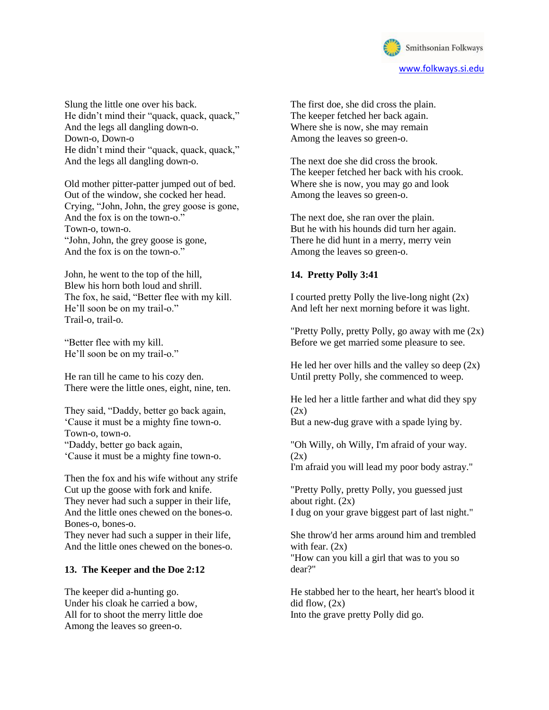

Slung the little one over his back. He didn"t mind their "quack, quack, quack," And the legs all dangling down-o. Down-o, Down-o He didn"t mind their "quack, quack, quack," And the legs all dangling down-o.

Old mother pitter-patter jumped out of bed. Out of the window, she cocked her head. Crying, "John, John, the grey goose is gone, And the fox is on the town-o." Town-o, town-o. "John, John, the grey goose is gone, And the fox is on the town-o."

John, he went to the top of the hill, Blew his horn both loud and shrill. The fox, he said, "Better flee with my kill. He'll soon be on my trail-o." Trail-o, trail-o.

"Better flee with my kill. He'll soon be on my trail-o."

He ran till he came to his cozy den. There were the little ones, eight, nine, ten.

They said, "Daddy, better go back again, "Cause it must be a mighty fine town-o. Town-o, town-o. "Daddy, better go back again, "Cause it must be a mighty fine town-o.

Then the fox and his wife without any strife Cut up the goose with fork and knife. They never had such a supper in their life, And the little ones chewed on the bones-o. Bones-o, bones-o.

They never had such a supper in their life, And the little ones chewed on the bones-o.

## **13. The Keeper and the Doe 2:12**

The keeper did a-hunting go. Under his cloak he carried a bow, All for to shoot the merry little doe Among the leaves so green-o.

The first doe, she did cross the plain. The keeper fetched her back again. Where she is now, she may remain Among the leaves so green-o.

The next doe she did cross the brook. The keeper fetched her back with his crook. Where she is now, you may go and look Among the leaves so green-o.

The next doe, she ran over the plain. But he with his hounds did turn her again. There he did hunt in a merry, merry vein Among the leaves so green-o.

### **14. Pretty Polly 3:41**

I courted pretty Polly the live-long night (2x) And left her next morning before it was light.

"Pretty Polly, pretty Polly, go away with me  $(2x)$ Before we get married some pleasure to see.

He led her over hills and the valley so deep  $(2x)$ Until pretty Polly, she commenced to weep.

He led her a little farther and what did they spy  $(2x)$ 

But a new-dug grave with a spade lying by.

"Oh Willy, oh Willy, I'm afraid of your way.  $(2x)$ 

I'm afraid you will lead my poor body astray."

"Pretty Polly, pretty Polly, you guessed just about right.  $(2x)$ I dug on your grave biggest part of last night."

She throw'd her arms around him and trembled with fear.  $(2x)$ "How can you kill a girl that was to you so dear?"

He stabbed her to the heart, her heart's blood it  $did flow. (2x)$ Into the grave pretty Polly did go.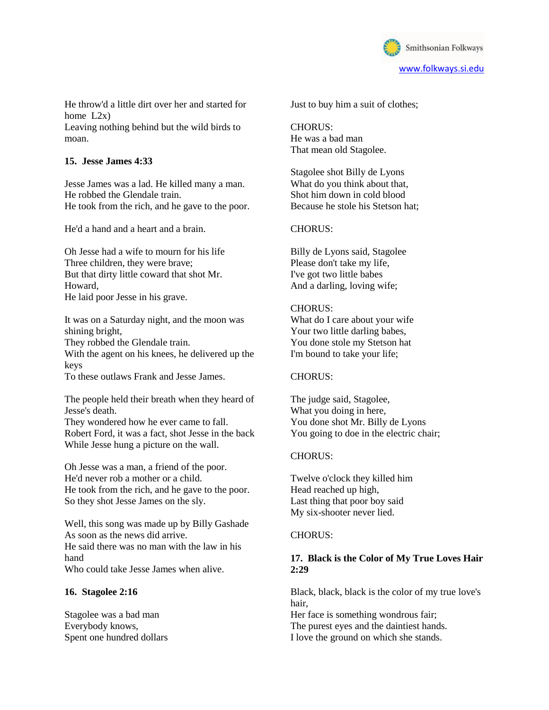

He throw'd a little dirt over her and started for home  $L2x$ )

Leaving nothing behind but the wild birds to moan.

## **15. Jesse James 4:33**

Jesse James was a lad. He killed many a man. He robbed the Glendale train. He took from the rich, and he gave to the poor.

He'd a hand and a heart and a brain.

Oh Jesse had a wife to mourn for his life Three children, they were brave; But that dirty little coward that shot Mr. Howard, He laid poor Jesse in his grave.

It was on a Saturday night, and the moon was shining bright, They robbed the Glendale train. With the agent on his knees, he delivered up the keys To these outlaws Frank and Jesse James.

The people held their breath when they heard of Jesse's death.

They wondered how he ever came to fall. Robert Ford, it was a fact, shot Jesse in the back While Jesse hung a picture on the wall.

Oh Jesse was a man, a friend of the poor. He'd never rob a mother or a child. He took from the rich, and he gave to the poor. So they shot Jesse James on the sly.

Well, this song was made up by Billy Gashade As soon as the news did arrive. He said there was no man with the law in his hand

Who could take Jesse James when alive.

## **16. Stagolee 2:16**

Stagolee was a bad man Everybody knows, Spent one hundred dollars Just to buy him a suit of clothes;

CHORUS: He was a bad man That mean old Stagolee.

Stagolee shot Billy de Lyons What do you think about that, Shot him down in cold blood Because he stole his Stetson hat;

## CHORUS:

Billy de Lyons said, Stagolee Please don't take my life, I've got two little babes And a darling, loving wife;

## CHORUS:

What do I care about your wife Your two little darling babes, You done stole my Stetson hat I'm bound to take your life;

## CHORUS:

The judge said, Stagolee, What you doing in here, You done shot Mr. Billy de Lyons You going to doe in the electric chair;

## CHORUS:

Twelve o'clock they killed him Head reached up high, Last thing that poor boy said My six-shooter never lied.

## CHORUS:

## **17. Black is the Color of My True Loves Hair 2:29**

Black, black, black is the color of my true love's hair,

Her face is something wondrous fair; The purest eyes and the daintiest hands. I love the ground on which she stands.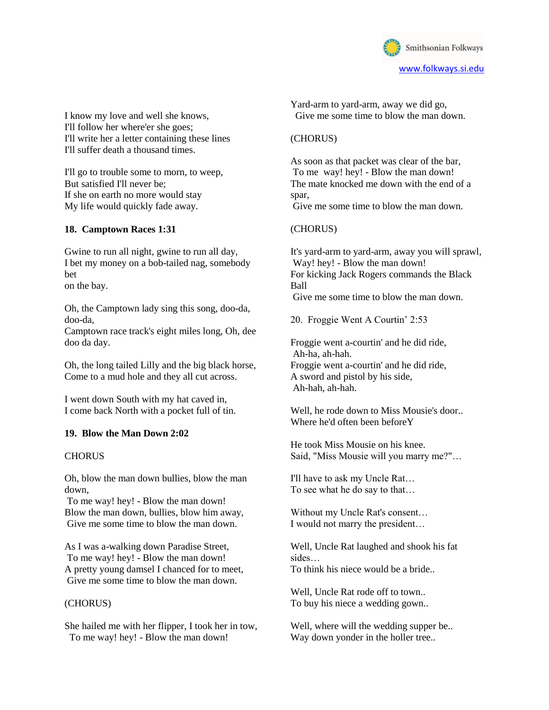

I know my love and well she knows, I'll follow her where'er she goes; I'll write her a letter containing these lines I'll suffer death a thousand times.

I'll go to trouble some to morn, to weep, But satisfied I'll never be; If she on earth no more would stay My life would quickly fade away.

## **18. Camptown Races 1:31**

Gwine to run all night, gwine to run all day, I bet my money on a bob-tailed nag, somebody bet

on the bay.

Oh, the Camptown lady sing this song, doo-da, doo-da,

Camptown race track's eight miles long, Oh, dee doo da day.

Oh, the long tailed Lilly and the big black horse, Come to a mud hole and they all cut across.

I went down South with my hat caved in, I come back North with a pocket full of tin.

## **19. Blow the Man Down 2:02**

### **CHORUS**

Oh, blow the man down bullies, blow the man down,

To me way! hey! - Blow the man down! Blow the man down, bullies, blow him away, Give me some time to blow the man down.

As I was a-walking down Paradise Street, To me way! hey! - Blow the man down! A pretty young damsel I chanced for to meet, Give me some time to blow the man down.

### (CHORUS)

She hailed me with her flipper, I took her in tow, To me way! hey! - Blow the man down!

Yard-arm to yard-arm, away we did go, Give me some time to blow the man down.

## (CHORUS)

As soon as that packet was clear of the bar, To me way! hey! - Blow the man down! The mate knocked me down with the end of a spar,

Give me some time to blow the man down.

### (CHORUS)

It's yard-arm to yard-arm, away you will sprawl, Way! hey! - Blow the man down! For kicking Jack Rogers commands the Black Ball Give me some time to blow the man down.

20. Froggie Went A Courtin' 2:53

Froggie went a-courtin' and he did ride, Ah-ha, ah-hah. Froggie went a-courtin' and he did ride, A sword and pistol by his side, Ah-hah, ah-hah.

Well, he rode down to Miss Mousie's door.. Where he'd often been beforeY

He took Miss Mousie on his knee. Said, "Miss Mousie will you marry me?"…

I'll have to ask my Uncle Rat… To see what he do say to that…

Without my Uncle Rat's consent… I would not marry the president…

Well, Uncle Rat laughed and shook his fat sides… To think his niece would be a bride..

Well, Uncle Rat rode off to town.. To buy his niece a wedding gown..

Well, where will the wedding supper be.. Way down yonder in the holler tree..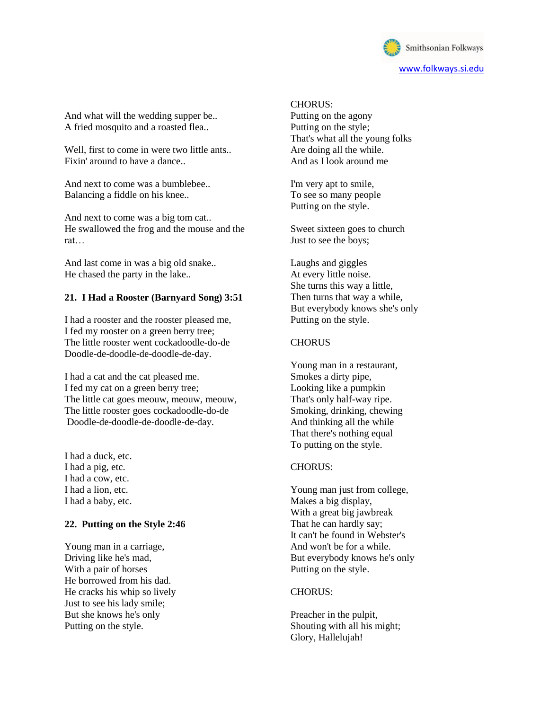

And what will the wedding supper be.. A fried mosquito and a roasted flea..

Well, first to come in were two little ants.. Fixin' around to have a dance.

And next to come was a bumblebee.. Balancing a fiddle on his knee..

And next to come was a big tom cat.. He swallowed the frog and the mouse and the rat…

And last come in was a big old snake.. He chased the party in the lake..

### **21. I Had a Rooster (Barnyard Song) 3:51**

I had a rooster and the rooster pleased me, I fed my rooster on a green berry tree; The little rooster went cockadoodle-do-de Doodle-de-doodle-de-doodle-de-day.

I had a cat and the cat pleased me. I fed my cat on a green berry tree; The little cat goes meouw, meouw, meouw, The little rooster goes cockadoodle-do-de Doodle-de-doodle-de-doodle-de-day.

I had a duck, etc. I had a pig, etc. I had a cow, etc. I had a lion, etc. I had a baby, etc.

### **22. Putting on the Style 2:46**

Young man in a carriage, Driving like he's mad, With a pair of horses He borrowed from his dad. He cracks his whip so lively Just to see his lady smile; But she knows he's only Putting on the style.

### CHORUS:

Putting on the agony Putting on the style; That's what all the young folks Are doing all the while. And as I look around me

I'm very apt to smile, To see so many people Putting on the style.

Sweet sixteen goes to church Just to see the boys;

Laughs and giggles At every little noise. She turns this way a little, Then turns that way a while, But everybody knows she's only Putting on the style.

### **CHORUS**

Young man in a restaurant, Smokes a dirty pipe, Looking like a pumpkin That's only half-way ripe. Smoking, drinking, chewing And thinking all the while That there's nothing equal To putting on the style.

### CHORUS:

Young man just from college, Makes a big display, With a great big jawbreak That he can hardly say; It can't be found in Webster's And won't be for a while. But everybody knows he's only Putting on the style.

### CHORUS:

Preacher in the pulpit, Shouting with all his might; Glory, Hallelujah!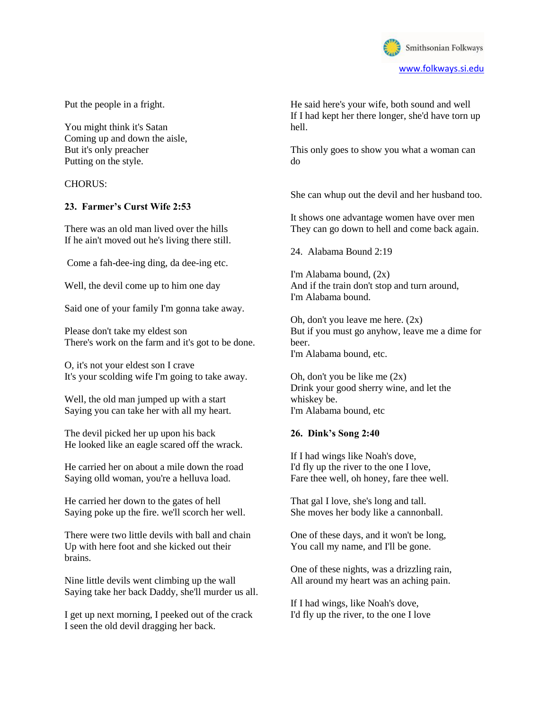

Put the people in a fright.

You might think it's Satan Coming up and down the aisle, But it's only preacher Putting on the style.

CHORUS:

## **23. Farmer's Curst Wife 2:53**

There was an old man lived over the hills If he ain't moved out he's living there still.

Come a fah-dee-ing ding, da dee-ing etc.

Well, the devil come up to him one day

Said one of your family I'm gonna take away.

Please don't take my eldest son There's work on the farm and it's got to be done.

O, it's not your eldest son I crave It's your scolding wife I'm going to take away.

Well, the old man jumped up with a start Saying you can take her with all my heart.

The devil picked her up upon his back He looked like an eagle scared off the wrack.

He carried her on about a mile down the road Saying olld woman, you're a helluva load.

He carried her down to the gates of hell Saying poke up the fire. we'll scorch her well.

There were two little devils with ball and chain Up with here foot and she kicked out their brains.

Nine little devils went climbing up the wall Saying take her back Daddy, she'll murder us all.

I get up next morning, I peeked out of the crack I seen the old devil dragging her back.

He said here's your wife, both sound and well If I had kept her there longer, she'd have torn up hell.

This only goes to show you what a woman can do

She can whup out the devil and her husband too.

It shows one advantage women have over men They can go down to hell and come back again.

24. Alabama Bound 2:19

I'm Alabama bound, (2x) And if the train don't stop and turn around, I'm Alabama bound.

Oh, don't you leave me here.  $(2x)$ But if you must go anyhow, leave me a dime for beer.

I'm Alabama bound, etc.

Oh, don't you be like me (2x) Drink your good sherry wine, and let the whiskey be. I'm Alabama bound, etc

## **26. Dink's Song 2:40**

If I had wings like Noah's dove, I'd fly up the river to the one I love, Fare thee well, oh honey, fare thee well.

That gal I love, she's long and tall. She moves her body like a cannonball.

One of these days, and it won't be long, You call my name, and I'll be gone.

One of these nights, was a drizzling rain, All around my heart was an aching pain.

If I had wings, like Noah's dove, I'd fly up the river, to the one I love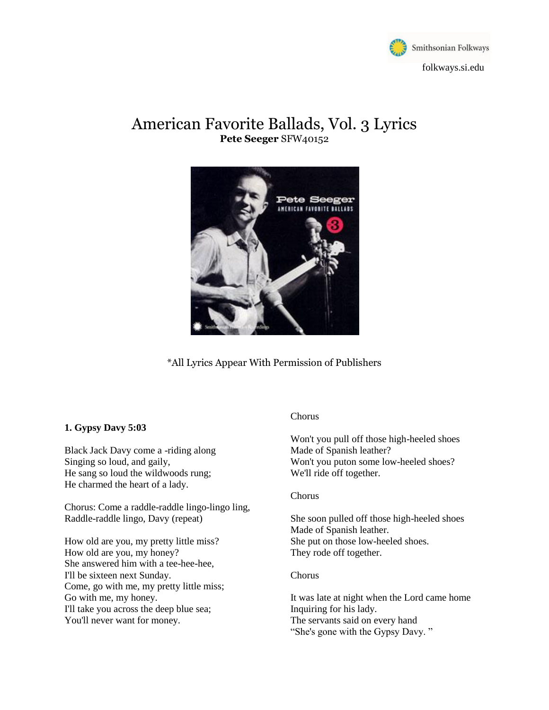

## American Favorite Ballads, Vol. 3 Lyrics **Pete Seeger** SFW40152



\*All Lyrics Appear With Permission of Publishers

## **1. Gypsy Davy 5:03**

Black Jack Davy come a -riding along Singing so loud, and gaily, He sang so loud the wildwoods rung; He charmed the heart of a lady.

Chorus: Come a raddle-raddle lingo-lingo ling, Raddle-raddle lingo, Davy (repeat)

How old are you, my pretty little miss? How old are you, my honey? She answered him with a tee-hee-hee, I'll be sixteen next Sunday. Come, go with me, my pretty little miss; Go with me, my honey. I'll take you across the deep blue sea; You'll never want for money.

## Chorus

Won't you pull off those high-heeled shoes Made of Spanish leather? Won't you puton some low-heeled shoes? We'll ride off together.

## Chorus

She soon pulled off those high-heeled shoes Made of Spanish leather. She put on those low-heeled shoes. They rode off together.

### Chorus

It was late at night when the Lord came home Inquiring for his lady. The servants said on every hand "She's gone with the Gypsy Davy. "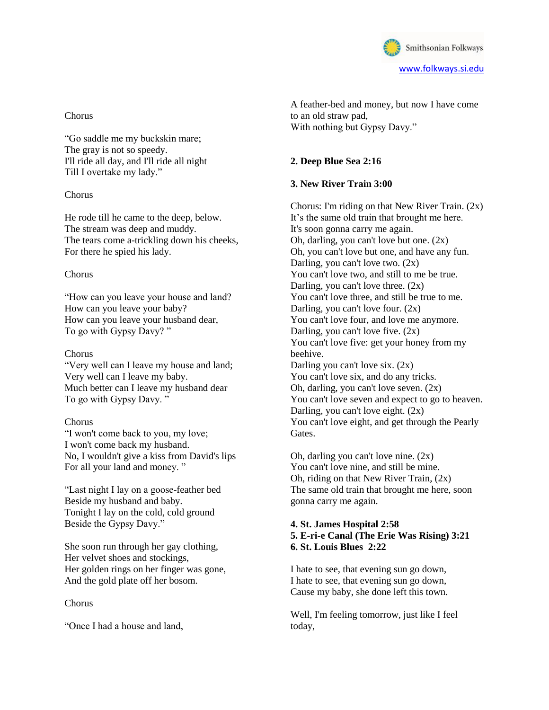

## Chorus

"Go saddle me my buckskin mare; The gray is not so speedy. I'll ride all day, and I'll ride all night Till I overtake my lady."

## Chorus

He rode till he came to the deep, below. The stream was deep and muddy. The tears come a-trickling down his cheeks, For there he spied his lady.

## Chorus

"How can you leave your house and land? How can you leave your baby? How can you leave your husband dear, To go with Gypsy Davy? "

## Chorus

"Very well can I leave my house and land; Very well can I leave my baby. Much better can I leave my husband dear To go with Gypsy Davy. "

## Chorus

"I won't come back to you, my love; I won't come back my husband. No, I wouldn't give a kiss from David's lips For all your land and money. "

"Last night I lay on a goose-feather bed Beside my husband and baby. Tonight I lay on the cold, cold ground Beside the Gypsy Davy."

She soon run through her gay clothing, Her velvet shoes and stockings, Her golden rings on her finger was gone, And the gold plate off her bosom.

## Chorus

"Once I had a house and land,

A feather-bed and money, but now I have come to an old straw pad, With nothing but Gypsy Davy."

## **2. Deep Blue Sea 2:16**

## **3. New River Train 3:00**

Chorus: I'm riding on that New River Train. (2x) It's the same old train that brought me here. It's soon gonna carry me again. Oh, darling, you can't love but one. (2x) Oh, you can't love but one, and have any fun. Darling, you can't love two.  $(2x)$ You can't love two, and still to me be true. Darling, you can't love three.  $(2x)$ You can't love three, and still be true to me. Darling, you can't love four. (2x) You can't love four, and love me anymore. Darling, you can't love five. (2x) You can't love five: get your honey from my beehive. Darling you can't love six.  $(2x)$ You can't love six, and do any tricks. Oh, darling, you can't love seven.  $(2x)$ You can't love seven and expect to go to heaven. Darling, you can't love eight. (2x) You can't love eight, and get through the Pearly Gates.

Oh, darling you can't love nine. (2x) You can't love nine, and still be mine. Oh, riding on that New River Train, (2x) The same old train that brought me here, soon gonna carry me again.

## **4. St. James Hospital 2:58 5. E-ri-e Canal (The Erie Was Rising) 3:21 6. St. Louis Blues 2:22**

I hate to see, that evening sun go down, I hate to see, that evening sun go down, Cause my baby, she done left this town.

Well, I'm feeling tomorrow, just like I feel today,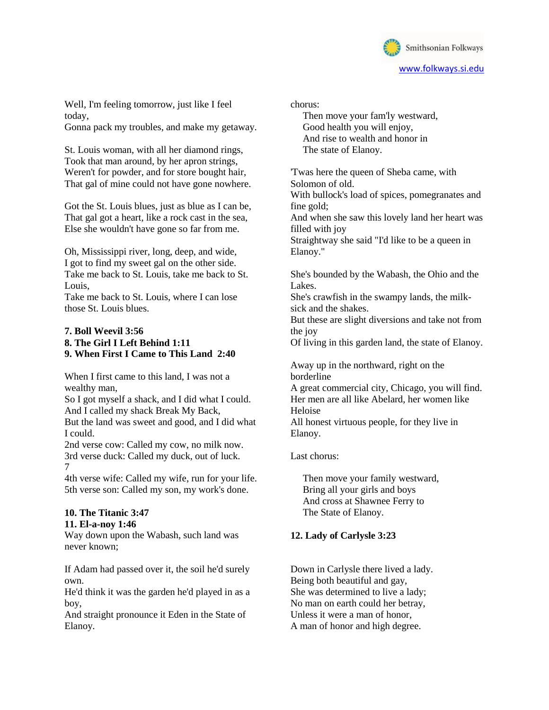

Well, I'm feeling tomorrow, just like I feel today, Gonna pack my troubles, and make my getaway.

St. Louis woman, with all her diamond rings, Took that man around, by her apron strings, Weren't for powder, and for store bought hair, That gal of mine could not have gone nowhere.

Got the St. Louis blues, just as blue as I can be, That gal got a heart, like a rock cast in the sea, Else she wouldn't have gone so far from me.

Oh, Mississippi river, long, deep, and wide, I got to find my sweet gal on the other side. Take me back to St. Louis, take me back to St. Louis,

Take me back to St. Louis, where I can lose those St. Louis blues.

## **7. Boll Weevil 3:56 8. The Girl I Left Behind 1:11 9. When First I Came to This Land 2:40**

When I first came to this land, I was not a wealthy man,

So I got myself a shack, and I did what I could. And I called my shack Break My Back, But the land was sweet and good, and I did what I could.

2nd verse cow: Called my cow, no milk now. 3rd verse duck: Called my duck, out of luck. 7

4th verse wife: Called my wife, run for your life. 5th verse son: Called my son, my work's done.

### **10. The Titanic 3:47 11. El-a-noy 1:46**

Way down upon the Wabash, such land was never known;

If Adam had passed over it, the soil he'd surely own.

He'd think it was the garden he'd played in as a boy,

And straight pronounce it Eden in the State of Elanoy.

chorus:

 Then move your fam'ly westward, Good health you will enjoy, And rise to wealth and honor in The state of Elanoy.

'Twas here the queen of Sheba came, with Solomon of old.

With bullock's load of spices, pomegranates and fine gold;

And when she saw this lovely land her heart was filled with joy

Straightway she said "I'd like to be a queen in Elanoy."

She's bounded by the Wabash, the Ohio and the Lakes.

She's crawfish in the swampy lands, the milksick and the shakes.

But these are slight diversions and take not from the joy

Of living in this garden land, the state of Elanoy.

Away up in the northward, right on the borderline

A great commercial city, Chicago, you will find. Her men are all like Abelard, her women like Heloise

All honest virtuous people, for they live in Elanoy.

Last chorus:

 Then move your family westward, Bring all your girls and boys And cross at Shawnee Ferry to The State of Elanoy.

## **12. Lady of Carlysle 3:23**

Down in Carlysle there lived a lady. Being both beautiful and gay, She was determined to live a lady; No man on earth could her betray, Unless it were a man of honor, A man of honor and high degree.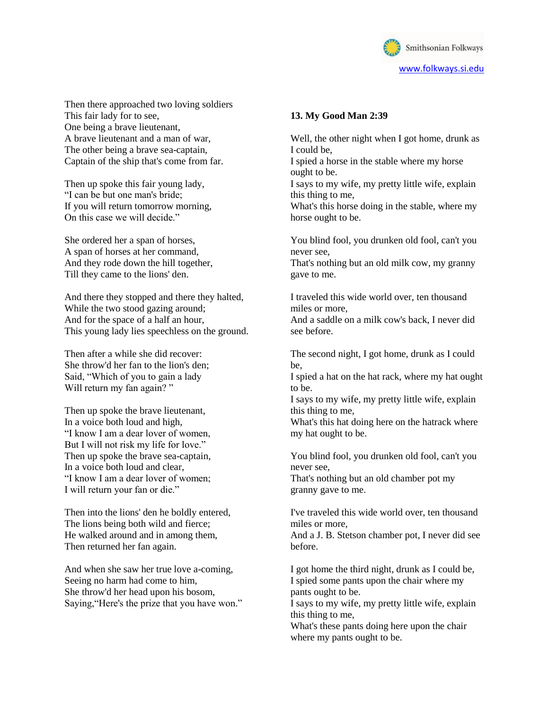

Then there approached two loving soldiers This fair lady for to see, One being a brave lieutenant, A brave lieutenant and a man of war, The other being a brave sea-captain, Captain of the ship that's come from far.

Then up spoke this fair young lady, "I can be but one man's bride; If you will return tomorrow morning, On this case we will decide."

She ordered her a span of horses, A span of horses at her command, And they rode down the hill together, Till they came to the lions' den.

And there they stopped and there they halted, While the two stood gazing around; And for the space of a half an hour, This young lady lies speechless on the ground.

Then after a while she did recover: She throw'd her fan to the lion's den; Said, "Which of you to gain a lady Will return my fan again? "

Then up spoke the brave lieutenant, In a voice both loud and high, "I know I am a dear lover of women, But I will not risk my life for love." Then up spoke the brave sea-captain, In a voice both loud and clear, "I know I am a dear lover of women; I will return your fan or die."

Then into the lions' den he boldly entered, The lions being both wild and fierce; He walked around and in among them, Then returned her fan again.

And when she saw her true love a-coming, Seeing no harm had come to him, She throw'd her head upon his bosom, Saying,"Here's the prize that you have won."

## **13. My Good Man 2:39**

Well, the other night when I got home, drunk as I could be, I spied a horse in the stable where my horse ought to be. I says to my wife, my pretty little wife, explain this thing to me, What's this horse doing in the stable, where my horse ought to be.

You blind fool, you drunken old fool, can't you never see,

That's nothing but an old milk cow, my granny gave to me.

I traveled this wide world over, ten thousand miles or more,

And a saddle on a milk cow's back, I never did see before.

The second night, I got home, drunk as I could be,

I spied a hat on the hat rack, where my hat ought to be.

I says to my wife, my pretty little wife, explain this thing to me,

What's this hat doing here on the hatrack where my hat ought to be.

You blind fool, you drunken old fool, can't you never see,

That's nothing but an old chamber pot my granny gave to me.

I've traveled this wide world over, ten thousand miles or more,

And a J. B. Stetson chamber pot, I never did see before.

I got home the third night, drunk as I could be, I spied some pants upon the chair where my pants ought to be.

I says to my wife, my pretty little wife, explain this thing to me,

What's these pants doing here upon the chair where my pants ought to be.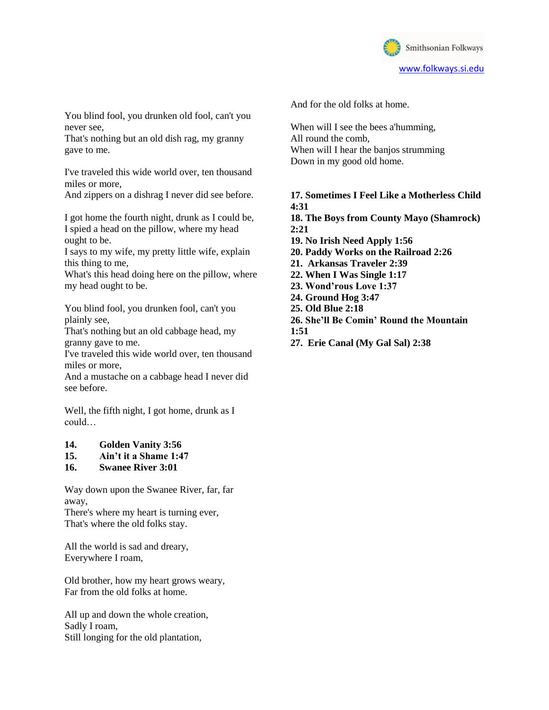

You blind fool, you drunken old fool, can't you never see,

That's nothing but an old dish rag, my granny gave to me.

I've traveled this wide world over, ten thousand miles or more,

And zippers on a dishrag I never did see before.

I got home the fourth night, drunk as I could be, I spied a head on the pillow, where my head ought to be.

I says to my wife, my pretty little wife, explain this thing to me,

What's this head doing here on the pillow, where my head ought to be.

You blind fool, you drunken fool, can't you plainly see,

That's nothing but an old cabbage head, my granny gave to me.

I've traveled this wide world over, ten thousand miles or more,

And a mustache on a cabbage head I never did see before.

Well, the fifth night, I got home, drunk as I could…

- **14. Golden Vanity 3:56**
- **15. Ain't it a Shame 1:47**
- **16. Swanee River 3:01**

Way down upon the Swanee River, far, far away,

There's where my heart is turning ever, That's where the old folks stay.

All the world is sad and dreary, Everywhere I roam,

Old brother, how my heart grows weary, Far from the old folks at home.

All up and down the whole creation, Sadly I roam, Still longing for the old plantation,

And for the old folks at home.

When will I see the bees a'humming, All round the comb, When will I hear the banjos strumming Down in my good old home.

**17. Sometimes I Feel Like a Motherless Child 4:31** 

**18. The Boys from County Mayo (Shamrock) 2:21**

- **19. No Irish Need Apply 1:56**
- **20. Paddy Works on the Railroad 2:26**
- **21. Arkansas Traveler 2:39**
- **22. When I Was Single 1:17**
- **23. Wond'rous Love 1:37**
- **24. Ground Hog 3:47**
- **25. Old Blue 2:18**
- **26. She'll Be Comin' Round the Mountain 1:51**
- **27. Erie Canal (My Gal Sal) 2:38**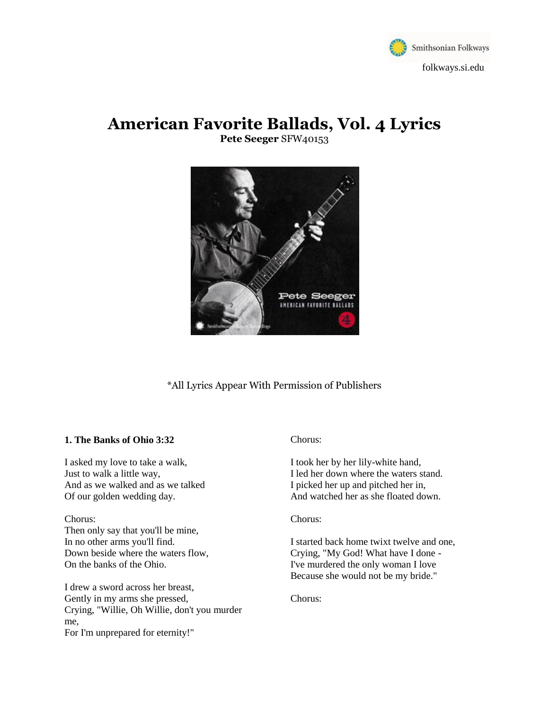

# **American Favorite Ballads, Vol. 4 Lyrics**

**Pete Seeger** SFW40153



\*All Lyrics Appear With Permission of Publishers

## **1. The Banks of Ohio 3:32**

I asked my love to take a walk, Just to walk a little way, And as we walked and as we talked Of our golden wedding day.

Chorus: Then only say that you'll be mine, In no other arms you'll find. Down beside where the waters flow, On the banks of the Ohio.

I drew a sword across her breast, Gently in my arms she pressed, Crying, "Willie, Oh Willie, don't you murder me, For I'm unprepared for eternity!"

## Chorus:

I took her by her lily-white hand, I led her down where the waters stand. I picked her up and pitched her in, And watched her as she floated down.

Chorus:

I started back home twixt twelve and one, Crying, "My God! What have I done - I've murdered the only woman I love Because she would not be my bride."

Chorus: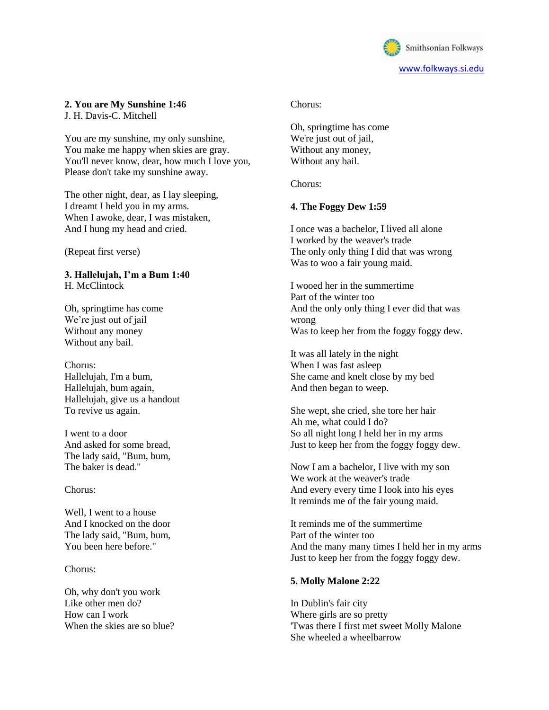

## **2. You are My Sunshine 1:46**

J. H. Davis-C. Mitchell

You are my sunshine, my only sunshine, You make me happy when skies are gray. You'll never know, dear, how much I love you, Please don't take my sunshine away.

The other night, dear, as I lay sleeping, I dreamt I held you in my arms. When I awoke, dear, I was mistaken, And I hung my head and cried.

(Repeat first verse)

## **3. Hallelujah, I'm a Bum 1:40** H. McClintock

Oh, springtime has come We're just out of jail Without any money Without any bail.

Chorus: Hallelujah, I'm a bum, Hallelujah, bum again, Hallelujah, give us a handout To revive us again.

I went to a door And asked for some bread, The lady said, "Bum, bum, The baker is dead."

## Chorus:

Well, I went to a house And I knocked on the door The lady said, "Bum, bum, You been here before."

## Chorus:

Oh, why don't you work Like other men do? How can I work When the skies are so blue?

## Chorus:

Oh, springtime has come We're just out of jail, Without any money, Without any bail.

Chorus:

## **4. The Foggy Dew 1:59**

I once was a bachelor, I lived all alone I worked by the weaver's trade The only only thing I did that was wrong Was to woo a fair young maid.

I wooed her in the summertime Part of the winter too And the only only thing I ever did that was wrong Was to keep her from the foggy foggy dew.

It was all lately in the night When I was fast asleep She came and knelt close by my bed And then began to weep.

She wept, she cried, she tore her hair Ah me, what could I do? So all night long I held her in my arms Just to keep her from the foggy foggy dew.

Now I am a bachelor, I live with my son We work at the weaver's trade And every every time I look into his eyes It reminds me of the fair young maid.

It reminds me of the summertime Part of the winter too And the many many times I held her in my arms Just to keep her from the foggy foggy dew.

## **5. Molly Malone 2:22**

In Dublin's fair city Where girls are so pretty 'Twas there I first met sweet Molly Malone She wheeled a wheelbarrow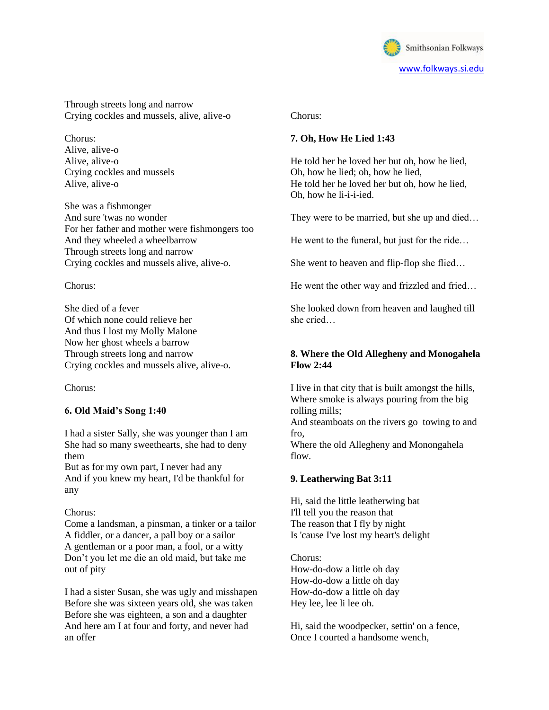

Through streets long and narrow Crying cockles and mussels, alive, alive-o

Chorus: Alive, alive-o Alive, alive-o Crying cockles and mussels Alive, alive-o

She was a fishmonger And sure 'twas no wonder For her father and mother were fishmongers too And they wheeled a wheelbarrow Through streets long and narrow Crying cockles and mussels alive, alive-o.

Chorus:

She died of a fever Of which none could relieve her And thus I lost my Molly Malone Now her ghost wheels a barrow Through streets long and narrow Crying cockles and mussels alive, alive-o.

Chorus:

## **6. Old Maid's Song 1:40**

I had a sister Sally, she was younger than I am She had so many sweethearts, she had to deny them

But as for my own part, I never had any And if you knew my heart, I'd be thankful for any

## Chorus:

Come a landsman, a pinsman, a tinker or a tailor A fiddler, or a dancer, a pall boy or a sailor A gentleman or a poor man, a fool, or a witty Don"t you let me die an old maid, but take me out of pity

I had a sister Susan, she was ugly and misshapen Before she was sixteen years old, she was taken Before she was eighteen, a son and a daughter And here am I at four and forty, and never had an offer

Chorus:

## **7. Oh, How He Lied 1:43**

He told her he loved her but oh, how he lied, Oh, how he lied; oh, how he lied, He told her he loved her but oh, how he lied, Oh, how he li-i-i-ied.

They were to be married, but she up and died…

He went to the funeral, but just for the ride…

She went to heaven and flip-flop she flied…

He went the other way and frizzled and fried…

She looked down from heaven and laughed till she cried…

## **8. Where the Old Allegheny and Monogahela Flow 2:44**

I live in that city that is built amongst the hills, Where smoke is always pouring from the big rolling mills; And steamboats on the rivers go towing to and fro,

Where the old Allegheny and Monongahela flow.

## **9. Leatherwing Bat 3:11**

Hi, said the little leatherwing bat I'll tell you the reason that The reason that I fly by night Is 'cause I've lost my heart's delight

Chorus: How-do-dow a little oh day How-do-dow a little oh day How-do-dow a little oh day Hey lee, lee li lee oh.

Hi, said the woodpecker, settin' on a fence, Once I courted a handsome wench,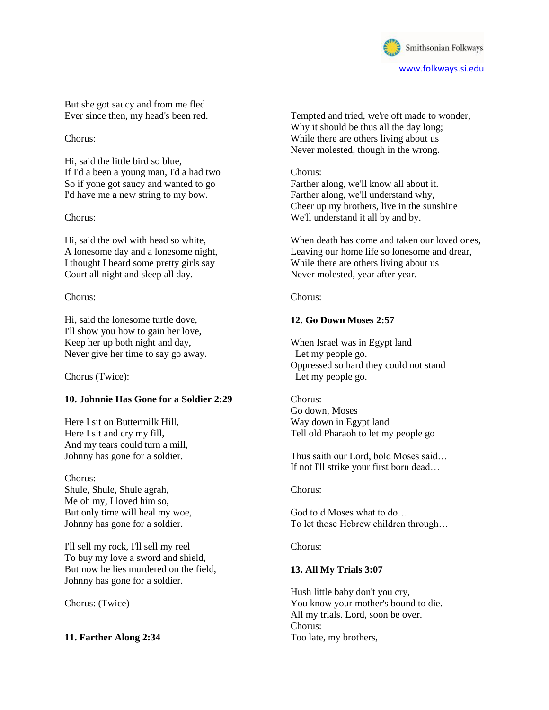

But she got saucy and from me fled Ever since then, my head's been red.

## Chorus:

Hi, said the little bird so blue, If I'd a been a young man, I'd a had two So if yone got saucy and wanted to go I'd have me a new string to my bow.

## Chorus:

Hi, said the owl with head so white, A lonesome day and a lonesome night, I thought I heard some pretty girls say Court all night and sleep all day.

## Chorus:

Hi, said the lonesome turtle dove, I'll show you how to gain her love, Keep her up both night and day, Never give her time to say go away.

Chorus (Twice):

## **10. Johnnie Has Gone for a Soldier 2:29**

Here I sit on Buttermilk Hill, Here I sit and cry my fill, And my tears could turn a mill, Johnny has gone for a soldier.

Chorus: Shule, Shule, Shule agrah, Me oh my, I loved him so, But only time will heal my woe, Johnny has gone for a soldier.

I'll sell my rock, I'll sell my reel To buy my love a sword and shield, But now he lies murdered on the field, Johnny has gone for a soldier.

Chorus: (Twice)

## **11. Farther Along 2:34**

Tempted and tried, we're oft made to wonder, Why it should be thus all the day long; While there are others living about us Never molested, though in the wrong.

## Chorus:

Farther along, we'll know all about it. Farther along, we'll understand why, Cheer up my brothers, live in the sunshine We'll understand it all by and by.

When death has come and taken our loved ones, Leaving our home life so lonesome and drear, While there are others living about us Never molested, year after year.

## Chorus:

## **12. Go Down Moses 2:57**

When Israel was in Egypt land Let my people go. Oppressed so hard they could not stand Let my people go.

Chorus: Go down, Moses Way down in Egypt land Tell old Pharaoh to let my people go

Thus saith our Lord, bold Moses said… If not I'll strike your first born dead…

Chorus:

God told Moses what to do… To let those Hebrew children through…

Chorus:

## **13. All My Trials 3:07**

Hush little baby don't you cry, You know your mother's bound to die. All my trials. Lord, soon be over. Chorus: Too late, my brothers,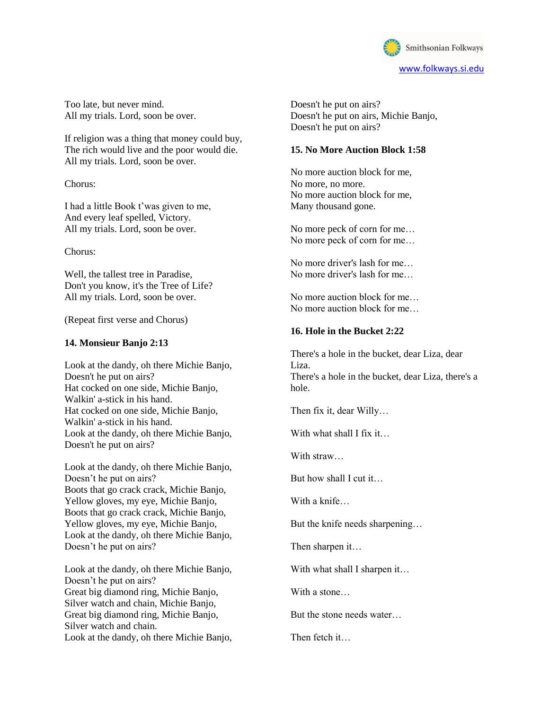

Too late, but never mind. All my trials. Lord, soon be over.

If religion was a thing that money could buy, The rich would live and the poor would die. All my trials. Lord, soon be over.

## Chorus:

I had a little Book t"was given to me, And every leaf spelled, Victory. All my trials. Lord, soon be over.

## Chorus:

Well, the tallest tree in Paradise, Don't you know, it's the Tree of Life? All my trials. Lord, soon be over.

(Repeat first verse and Chorus)

## **14. Monsieur Banjo 2:13**

Look at the dandy, oh there Michie Banjo, Doesn't he put on airs? Hat cocked on one side, Michie Banjo, Walkin' a-stick in his hand. Hat cocked on one side, Michie Banjo, Walkin' a-stick in his hand. Look at the dandy, oh there Michie Banjo, Doesn't he put on airs?

Look at the dandy, oh there Michie Banjo, Doesn"t he put on airs? Boots that go crack crack, Michie Banjo, Yellow gloves, my eye, Michie Banjo, Boots that go crack crack, Michie Banjo, Yellow gloves, my eye, Michie Banjo, Look at the dandy, oh there Michie Banjo, Doesn"t he put on airs?

Look at the dandy, oh there Michie Banjo, Doesn"t he put on airs? Great big diamond ring, Michie Banjo, Silver watch and chain, Michie Banjo, Great big diamond ring, Michie Banjo, Silver watch and chain. Look at the dandy, oh there Michie Banjo,

Doesn't he put on airs? Doesn't he put on airs, Michie Banjo, Doesn't he put on airs?

## **15. No More Auction Block 1:58**

No more auction block for me, No more, no more. No more auction block for me, Many thousand gone.

No more peck of corn for me… No more peck of corn for me…

No more driver's lash for me… No more driver's lash for me…

No more auction block for me… No more auction block for me…

## **16. Hole in the Bucket 2:22**

There's a hole in the bucket, dear Liza, dear Liza. There's a hole in the bucket, dear Liza, there's a hole.

Then fix it, dear Willy…

With what shall I fix it...

With straw...

But how shall I cut it…

With a knife…

But the knife needs sharpening…

Then sharpen it…

With what shall I sharpen it...

With a stone…

But the stone needs water…

Then fetch it…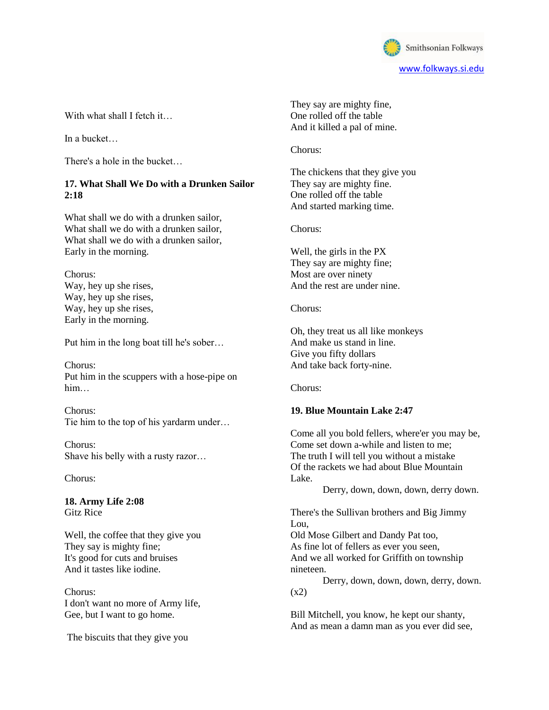

## With what shall I fetch it…

In a bucket…

There's a hole in the bucket…

## **17. What Shall We Do with a Drunken Sailor 2:18**

What shall we do with a drunken sailor, What shall we do with a drunken sailor, What shall we do with a drunken sailor, Early in the morning.

Chorus: Way, hey up she rises, Way, hey up she rises, Way, hey up she rises, Early in the morning.

Put him in the long boat till he's sober…

Chorus: Put him in the scuppers with a hose-pipe on him…

Chorus: Tie him to the top of his yardarm under…

Chorus: Shave his belly with a rusty razor…

Chorus:

**18. Army Life 2:08** Gitz Rice

Well, the coffee that they give you They say is mighty fine; It's good for cuts and bruises And it tastes like iodine.

Chorus: I don't want no more of Army life, Gee, but I want to go home.

The biscuits that they give you

They say are mighty fine, One rolled off the table And it killed a pal of mine.

Chorus:

The chickens that they give you They say are mighty fine. One rolled off the table And started marking time.

Chorus:

Well, the girls in the PX They say are mighty fine; Most are over ninety And the rest are under nine.

Chorus:

Oh, they treat us all like monkeys And make us stand in line. Give you fifty dollars And take back forty-nine.

Chorus:

## **19. Blue Mountain Lake 2:47**

Come all you bold fellers, where'er you may be, Come set down a-while and listen to me; The truth I will tell you without a mistake Of the rackets we had about Blue Mountain Lake.

Derry, down, down, down, derry down.

There's the Sullivan brothers and Big Jimmy Lou,

Old Mose Gilbert and Dandy Pat too, As fine lot of fellers as ever you seen, And we all worked for Griffith on township nineteen.

Derry, down, down, down, derry, down.  $(x2)$ 

Bill Mitchell, you know, he kept our shanty, And as mean a damn man as you ever did see,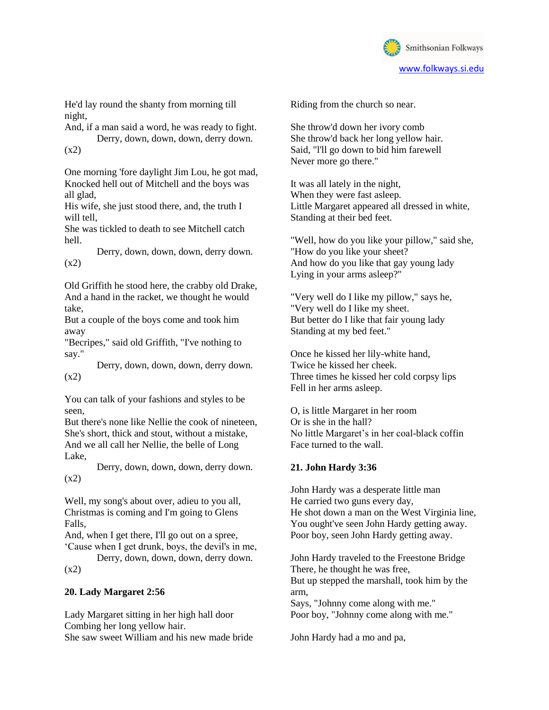

He'd lay round the shanty from morning till night,

And, if a man said a word, he was ready to fight. Derry, down, down, down, derry down.  $(x2)$ 

One morning 'fore daylight Jim Lou, he got mad, Knocked hell out of Mitchell and the boys was all glad,

His wife, she just stood there, and, the truth I will tell,

She was tickled to death to see Mitchell catch hell.

Derry, down, down, down, derry down.  $(x2)$ 

Old Griffith he stood here, the crabby old Drake, And a hand in the racket, we thought he would take,

But a couple of the boys come and took him away

"Becripes," said old Griffith, "I've nothing to say."

Derry, down, down, down, derry down.  $(x2)$ 

You can talk of your fashions and styles to be seen,

But there's none like Nellie the cook of nineteen, She's short, thick and stout, without a mistake, And we all call her Nellie, the belle of Long Lake,

Derry, down, down, down, derry down.  $(x2)$ 

Well, my song's about over, adieu to you all, Christmas is coming and I'm going to Glens Falls,

And, when I get there, I'll go out on a spree, "Cause when I get drunk, boys, the devil's in me,

Derry, down, down, down, derry down.  $(x2)$ 

## **20. Lady Margaret 2:56**

Lady Margaret sitting in her high hall door Combing her long yellow hair.

She saw sweet William and his new made bride

Riding from the church so near.

She throw'd down her ivory comb She throw'd back her long yellow hair. Said, "l'll go down to bid him farewell Never more go there."

It was all lately in the night, When they were fast asleep. Little Margaret appeared all dressed in white, Standing at their bed feet.

"Well, how do you like your pillow," said she, "How do you like your sheet? And how do you like that gay young lady Lying in your arms asleep?"

"Very well do I like my pillow," says he, "Very well do I like my sheet. But better do I like that fair young lady Standing at my bed feet."

Once he kissed her lily-white hand, Twice he kissed her cheek. Three times he kissed her cold corpsy lips Fell in her arms asleep.

O, is little Margaret in her room Or is she in the hall? No little Margaret"s in her coal-black coffin Face turned to the wall.

## **21. John Hardy 3:36**

John Hardy was a desperate little man He carried two guns every day, He shot down a man on the West Virginia line, You ought've seen John Hardy getting away. Poor boy, seen John Hardy getting away.

John Hardy traveled to the Freestone Bridge There, he thought he was free, But up stepped the marshall, took him by the arm, Says, "Johnny come along with me." Poor boy, "Johnny come along with me."

John Hardy had a mo and pa,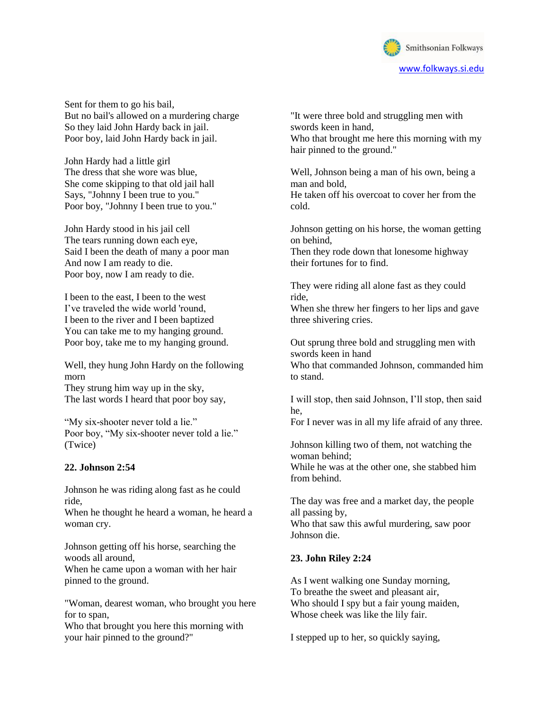

Sent for them to go his bail, But no bail's allowed on a murdering charge So they laid John Hardy back in jail. Poor boy, laid John Hardy back in jail.

John Hardy had a little girl The dress that she wore was blue, She come skipping to that old jail hall Says, "Johnny I been true to you." Poor boy, "Johnny I been true to you."

John Hardy stood in his jail cell The tears running down each eye, Said I been the death of many a poor man And now I am ready to die. Poor boy, now I am ready to die.

I been to the east, I been to the west I"ve traveled the wide world 'round, I been to the river and I been baptized You can take me to my hanging ground. Poor boy, take me to my hanging ground.

Well, they hung John Hardy on the following morn They strung him way up in the sky,

The last words I heard that poor boy say,

"My six-shooter never told a lie." Poor boy, "My six-shooter never told a lie." (Twice)

## **22. Johnson 2:54**

Johnson he was riding along fast as he could ride,

When he thought he heard a woman, he heard a woman cry.

Johnson getting off his horse, searching the woods all around,

When he came upon a woman with her hair pinned to the ground.

"Woman, dearest woman, who brought you here for to span,

Who that brought you here this morning with your hair pinned to the ground?"

"It were three bold and struggling men with swords keen in hand,

Who that brought me here this morning with my hair pinned to the ground."

Well, Johnson being a man of his own, being a man and bold,

He taken off his overcoat to cover her from the cold.

Johnson getting on his horse, the woman getting on behind,

Then they rode down that lonesome highway their fortunes for to find.

They were riding all alone fast as they could ride,

When she threw her fingers to her lips and gave three shivering cries.

Out sprung three bold and struggling men with swords keen in hand

Who that commanded Johnson, commanded him to stand.

I will stop, then said Johnson, I"ll stop, then said he,

For I never was in all my life afraid of any three.

Johnson killing two of them, not watching the woman behind;

While he was at the other one, she stabbed him from behind.

The day was free and a market day, the people all passing by,

Who that saw this awful murdering, saw poor Johnson die.

## **23. John Riley 2:24**

As I went walking one Sunday morning, To breathe the sweet and pleasant air, Who should I spy but a fair young maiden, Whose cheek was like the lily fair.

I stepped up to her, so quickly saying,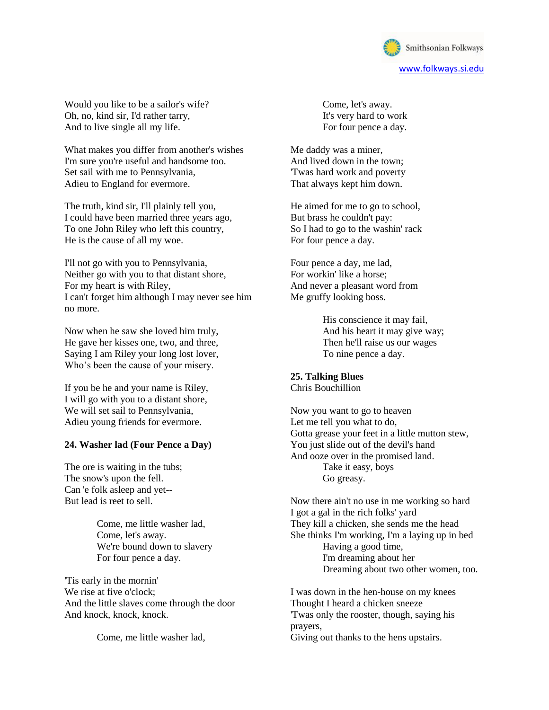Smithsonian Folkways www.folkways.si.edu

Would you like to be a sailor's wife? Oh, no, kind sir, I'd rather tarry, And to live single all my life.

What makes you differ from another's wishes I'm sure you're useful and handsome too. Set sail with me to Pennsylvania, Adieu to England for evermore.

The truth, kind sir, I'll plainly tell you, I could have been married three years ago, To one John Riley who left this country, He is the cause of all my woe.

I'll not go with you to Pennsylvania, Neither go with you to that distant shore, For my heart is with Riley, I can't forget him although I may never see him no more.

Now when he saw she loved him truly, He gave her kisses one, two, and three, Saying I am Riley your long lost lover, Who"s been the cause of your misery.

If you be he and your name is Riley, I will go with you to a distant shore, We will set sail to Pennsylvania, Adieu young friends for evermore.

### **24. Washer lad (Four Pence a Day)**

The ore is waiting in the tubs; The snow's upon the fell. Can 'e folk asleep and yet-- But lead is reet to sell.

> Come, me little washer lad, Come, let's away. We're bound down to slavery For four pence a day.

'Tis early in the mornin' We rise at five o'clock: And the little slaves come through the door And knock, knock, knock.

Come, me little washer lad,

Come, let's away. It's very hard to work For four pence a day.

Me daddy was a miner, And lived down in the town; 'Twas hard work and poverty That always kept him down.

He aimed for me to go to school, But brass he couldn't pay: So I had to go to the washin' rack For four pence a day.

Four pence a day, me lad, For workin' like a horse; And never a pleasant word from Me gruffy looking boss.

> His conscience it may fail, And his heart it may give way; Then he'll raise us our wages To nine pence a day.

### **25. Talking Blues**

Chris Bouchillion

Now you want to go to heaven Let me tell you what to do, Gotta grease your feet in a little mutton stew, You just slide out of the devil's hand And ooze over in the promised land. Take it easy, boys Go greasy.

Now there ain't no use in me working so hard I got a gal in the rich folks' yard They kill a chicken, she sends me the head She thinks I'm working, I'm a laying up in bed Having a good time, I'm dreaming about her Dreaming about two other women, too.

I was down in the hen-house on my knees Thought I heard a chicken sneeze 'Twas only the rooster, though, saying his prayers, Giving out thanks to the hens upstairs.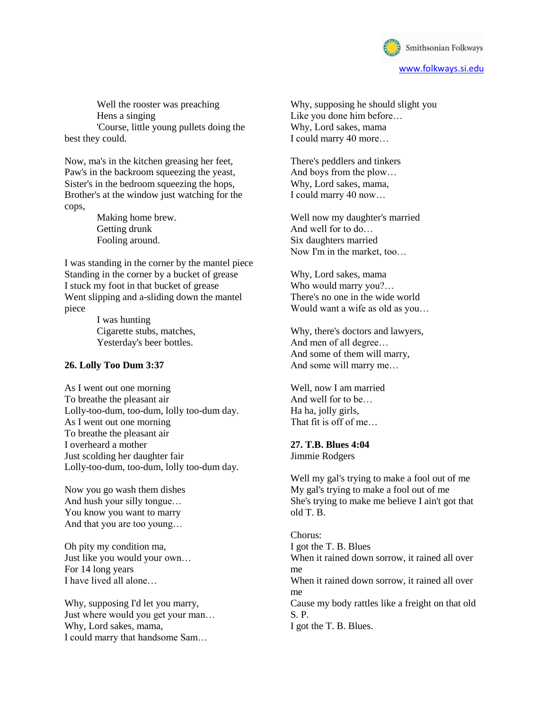

Well the rooster was preaching Hens a singing 'Course, little young pullets doing the best they could.

Now, ma's in the kitchen greasing her feet, Paw's in the backroom squeezing the yeast, Sister's in the bedroom squeezing the hops, Brother's at the window just watching for the cops,

> Making home brew. Getting drunk Fooling around.

I was standing in the corner by the mantel piece Standing in the corner by a bucket of grease I stuck my foot in that bucket of grease Went slipping and a-sliding down the mantel piece

> I was hunting Cigarette stubs, matches, Yesterday's beer bottles.

### **26. Lolly Too Dum 3:37**

As I went out one morning To breathe the pleasant air Lolly-too-dum, too-dum, lolly too-dum day. As I went out one morning To breathe the pleasant air I overheard a mother Just scolding her daughter fair Lolly-too-dum, too-dum, lolly too-dum day.

Now you go wash them dishes And hush your silly tongue… You know you want to marry And that you are too young…

Oh pity my condition ma, Just like you would your own… For 14 long years I have lived all alone…

Why, supposing I'd let you marry, Just where would you get your man… Why, Lord sakes, mama, I could marry that handsome Sam…

Why, supposing he should slight you Like you done him before… Why, Lord sakes, mama I could marry 40 more…

There's peddlers and tinkers And boys from the plow… Why, Lord sakes, mama, I could marry 40 now…

Well now my daughter's married And well for to do… Six daughters married Now I'm in the market, too…

Why, Lord sakes, mama Who would marry you?… There's no one in the wide world Would want a wife as old as you…

Why, there's doctors and lawyers, And men of all degree… And some of them will marry, And some will marry me…

Well, now I am married And well for to be… Ha ha, jolly girls, That fit is off of me…

## **27. T.B. Blues 4:04**

Jimmie Rodgers

Well my gal's trying to make a fool out of me My gal's trying to make a fool out of me She's trying to make me believe I ain't got that old T. B.

Chorus: I got the T. B. Blues When it rained down sorrow, it rained all over me When it rained down sorrow, it rained all over me Cause my body rattles like a freight on that old S. P. I got the T. B. Blues.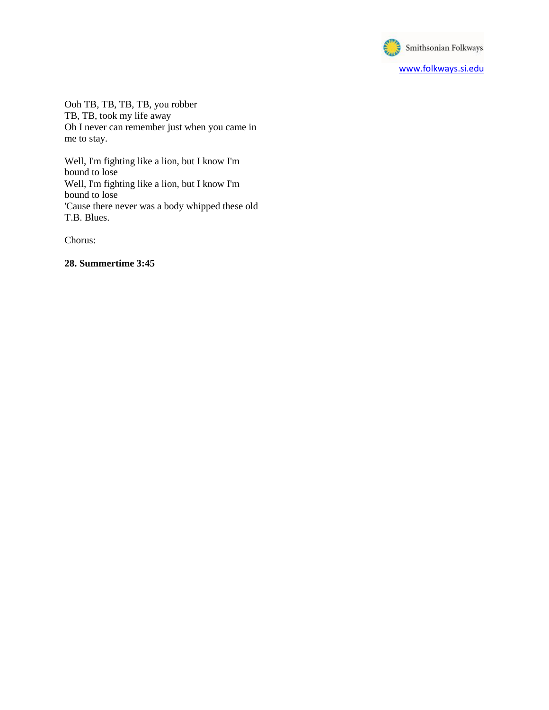

Ooh TB, TB, TB, TB, you robber TB, TB, took my life away Oh I never can remember just when you came in me to stay.

Well, I'm fighting like a lion, but I know I'm bound to lose Well, I'm fighting like a lion, but I know I'm bound to lose 'Cause there never was a body whipped these old T.B. Blues.

Chorus:

**28. Summertime 3:45**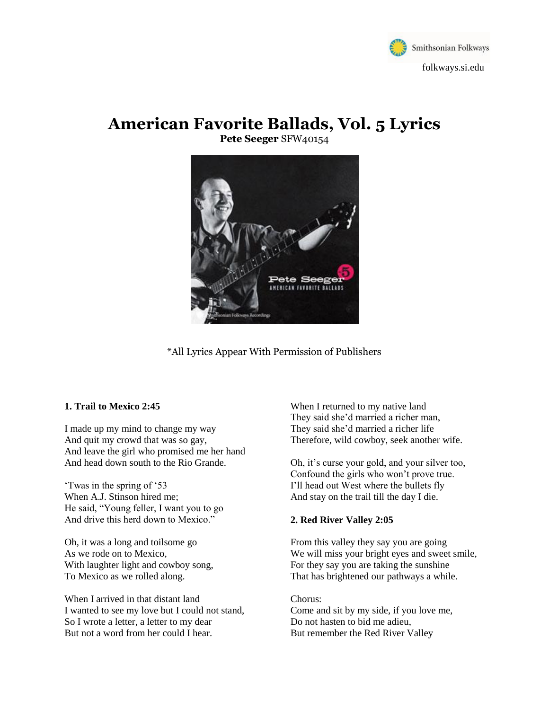

# **American Favorite Ballads, Vol. 5 Lyrics**

**Pete Seeger** SFW40154



\*All Lyrics Appear With Permission of Publishers

## **1. Trail to Mexico 2:45**

I made up my mind to change my way And quit my crowd that was so gay, And leave the girl who promised me her hand And head down south to the Rio Grande.

"Twas in the spring of "53 When A.J. Stinson hired me; He said, "Young feller, I want you to go And drive this herd down to Mexico."

Oh, it was a long and toilsome go As we rode on to Mexico, With laughter light and cowboy song, To Mexico as we rolled along.

When I arrived in that distant land I wanted to see my love but I could not stand, So I wrote a letter, a letter to my dear But not a word from her could I hear.

When I returned to my native land They said she'd married a richer man, They said she"d married a richer life Therefore, wild cowboy, seek another wife.

Oh, it"s curse your gold, and your silver too, Confound the girls who won"t prove true. I"ll head out West where the bullets fly And stay on the trail till the day I die.

## **2. Red River Valley 2:05**

From this valley they say you are going We will miss your bright eyes and sweet smile, For they say you are taking the sunshine That has brightened our pathways a while.

Chorus: Come and sit by my side, if you love me, Do not hasten to bid me adieu, But remember the Red River Valley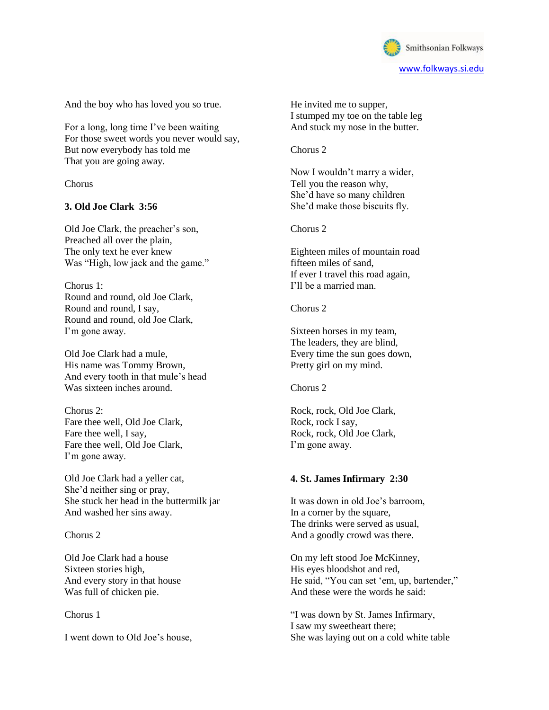

And the boy who has loved you so true.

For a long, long time I"ve been waiting For those sweet words you never would say, But now everybody has told me That you are going away.

## Chorus

## **3. Old Joe Clark 3:56**

Old Joe Clark, the preacher's son, Preached all over the plain, The only text he ever knew Was "High, low jack and the game."

Chorus 1: Round and round, old Joe Clark, Round and round, I say, Round and round, old Joe Clark, I'm gone away.

Old Joe Clark had a mule, His name was Tommy Brown, And every tooth in that mule"s head Was sixteen inches around.

Chorus  $2^1$ Fare thee well, Old Joe Clark, Fare thee well, I say, Fare thee well, Old Joe Clark, I'm gone away.

Old Joe Clark had a yeller cat, She"d neither sing or pray, She stuck her head in the buttermilk jar And washed her sins away.

### Chorus 2

Old Joe Clark had a house Sixteen stories high, And every story in that house Was full of chicken pie.

## Chorus 1

I went down to Old Joe"s house,

He invited me to supper, I stumped my toe on the table leg And stuck my nose in the butter.

### Chorus 2

Now I wouldn"t marry a wider, Tell you the reason why, She"d have so many children She"d make those biscuits fly.

## Chorus 2

Eighteen miles of mountain road fifteen miles of sand, If ever I travel this road again, I"ll be a married man.

### Chorus 2

Sixteen horses in my team, The leaders, they are blind, Every time the sun goes down, Pretty girl on my mind.

Chorus 2

Rock, rock, Old Joe Clark, Rock, rock I say, Rock, rock, Old Joe Clark, I'm gone away.

## **4. St. James Infirmary 2:30**

It was down in old Joe"s barroom, In a corner by the square, The drinks were served as usual, And a goodly crowd was there.

On my left stood Joe McKinney, His eyes bloodshot and red, He said, "You can set 'em, up, bartender," And these were the words he said:

"I was down by St. James Infirmary, I saw my sweetheart there; She was laying out on a cold white table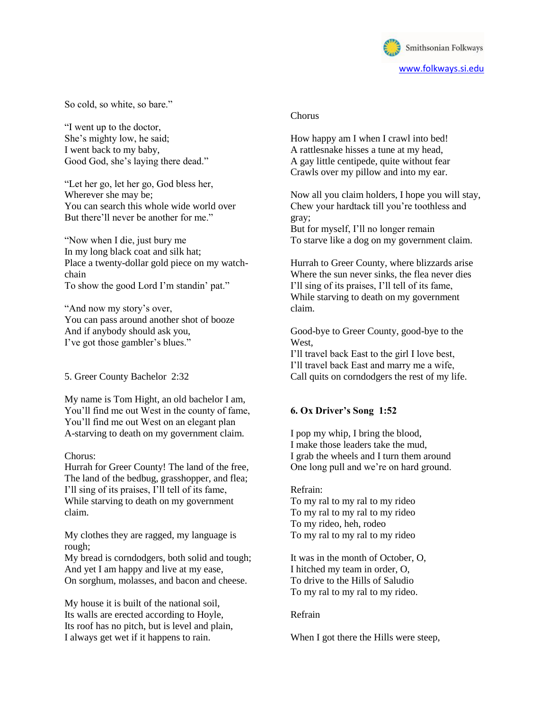

So cold, so white, so bare."

"I went up to the doctor, She"s mighty low, he said; I went back to my baby, Good God, she's laying there dead."

"Let her go, let her go, God bless her, Wherever she may be; You can search this whole wide world over But there"ll never be another for me."

"Now when I die, just bury me In my long black coat and silk hat; Place a twenty-dollar gold piece on my watchchain To show the good Lord I"m standin" pat."

"And now my story's over, You can pass around another shot of booze And if anybody should ask you, I've got those gambler's blues."

5. Greer County Bachelor 2:32

My name is Tom Hight, an old bachelor I am, You"ll find me out West in the county of fame, You"ll find me out West on an elegant plan A-starving to death on my government claim.

## Chorus:

Hurrah for Greer County! The land of the free, The land of the bedbug, grasshopper, and flea; I"ll sing of its praises, I"ll tell of its fame, While starving to death on my government claim.

My clothes they are ragged, my language is rough;

My bread is corndodgers, both solid and tough; And yet I am happy and live at my ease, On sorghum, molasses, and bacon and cheese.

My house it is built of the national soil, Its walls are erected according to Hoyle, Its roof has no pitch, but is level and plain, I always get wet if it happens to rain.

### Chorus

How happy am I when I crawl into bed! A rattlesnake hisses a tune at my head, A gay little centipede, quite without fear Crawls over my pillow and into my ear.

Now all you claim holders, I hope you will stay, Chew your hardtack till you"re toothless and gray;

But for myself, I"ll no longer remain To starve like a dog on my government claim.

Hurrah to Greer County, where blizzards arise Where the sun never sinks, the flea never dies I"ll sing of its praises, I"ll tell of its fame, While starving to death on my government claim.

Good-bye to Greer County, good-bye to the West,

I"ll travel back East to the girl I love best, I"ll travel back East and marry me a wife, Call quits on corndodgers the rest of my life.

## **6. Ox Driver's Song 1:52**

I pop my whip, I bring the blood, I make those leaders take the mud, I grab the wheels and I turn them around One long pull and we"re on hard ground.

### Refrain:

To my ral to my ral to my rideo To my ral to my ral to my rideo To my rideo, heh, rodeo To my ral to my ral to my rideo

It was in the month of October, O, I hitched my team in order, O, To drive to the Hills of Saludio To my ral to my ral to my rideo.

Refrain

When I got there the Hills were steep,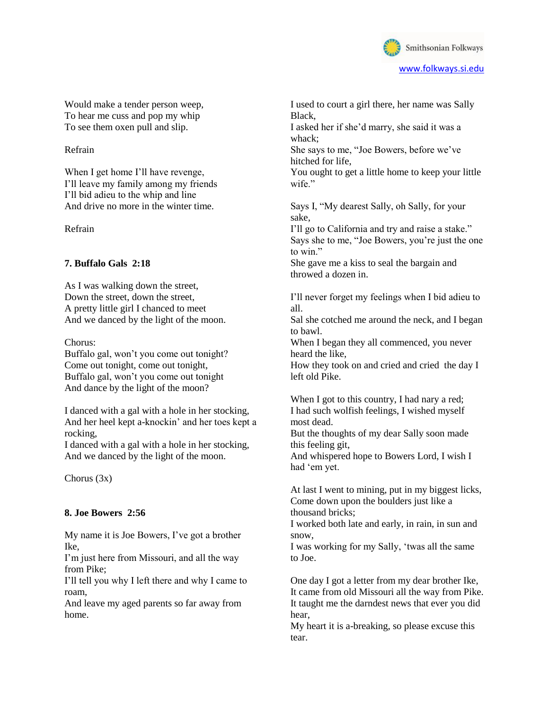

Would make a tender person weep, To hear me cuss and pop my whip To see them oxen pull and slip.

## Refrain

When I get home I'll have revenge, I"ll leave my family among my friends I"ll bid adieu to the whip and line And drive no more in the winter time.

Refrain

## **7. Buffalo Gals 2:18**

As I was walking down the street, Down the street, down the street, A pretty little girl I chanced to meet And we danced by the light of the moon.

## Chorus:

Buffalo gal, won"t you come out tonight? Come out tonight, come out tonight, Buffalo gal, won"t you come out tonight And dance by the light of the moon?

I danced with a gal with a hole in her stocking, And her heel kept a-knockin" and her toes kept a rocking,

I danced with a gal with a hole in her stocking, And we danced by the light of the moon.

Chorus (3x)

## **8. Joe Bowers 2:56**

My name it is Joe Bowers, I"ve got a brother Ike,

I'm just here from Missouri, and all the way from Pike;

I"ll tell you why I left there and why I came to roam,

And leave my aged parents so far away from home.

I used to court a girl there, her name was Sally Black,

I asked her if she"d marry, she said it was a whack;

She says to me, "Joe Bowers, before we"ve hitched for life,

You ought to get a little home to keep your little wife."

Says I, "My dearest Sally, oh Sally, for your sake,

I"ll go to California and try and raise a stake." Says she to me, "Joe Bowers, you"re just the one to win."

She gave me a kiss to seal the bargain and throwed a dozen in.

I"ll never forget my feelings when I bid adieu to all.

Sal she cotched me around the neck, and I began to bawl.

When I began they all commenced, you never heard the like,

How they took on and cried and cried the day I left old Pike.

When I got to this country, I had nary a red; I had such wolfish feelings, I wished myself most dead.

But the thoughts of my dear Sally soon made this feeling git,

And whispered hope to Bowers Lord, I wish I had "em yet.

At last I went to mining, put in my biggest licks, Come down upon the boulders just like a thousand bricks;

I worked both late and early, in rain, in sun and snow,

I was working for my Sally, "twas all the same to Joe.

One day I got a letter from my dear brother Ike, It came from old Missouri all the way from Pike. It taught me the darndest news that ever you did hear,

My heart it is a-breaking, so please excuse this tear.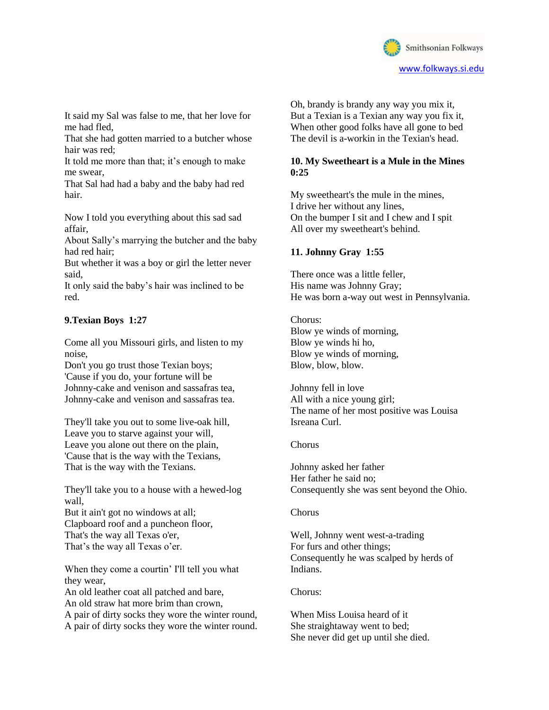

It said my Sal was false to me, that her love for me had fled,

That she had gotten married to a butcher whose hair was red;

It told me more than that; it's enough to make me swear,

That Sal had had a baby and the baby had red hair.

Now I told you everything about this sad sad affair,

About Sally"s marrying the butcher and the baby had red hair;

But whether it was a boy or girl the letter never said,

It only said the baby"s hair was inclined to be red.

## **9.Texian Boys 1:27**

Come all you Missouri girls, and listen to my noise,

Don't you go trust those Texian boys; 'Cause if you do, your fortune will be Johnny-cake and venison and sassafras tea, Johnny-cake and venison and sassafras tea.

They'll take you out to some live-oak hill, Leave you to starve against your will, Leave you alone out there on the plain, 'Cause that is the way with the Texians, That is the way with the Texians.

They'll take you to a house with a hewed-log wall,

But it ain't got no windows at all; Clapboard roof and a puncheon floor, That's the way all Texas o'er, That's the way all Texas o'er.

When they come a courtin' I'll tell you what they wear,

An old leather coat all patched and bare, An old straw hat more brim than crown, A pair of dirty socks they wore the winter round, A pair of dirty socks they wore the winter round. Oh, brandy is brandy any way you mix it, But a Texian is a Texian any way you fix it, When other good folks have all gone to bed The devil is a-workin in the Texian's head.

## **10. My Sweetheart is a Mule in the Mines 0:25**

My sweetheart's the mule in the mines, I drive her without any lines, On the bumper I sit and I chew and I spit All over my sweetheart's behind.

## **11. Johnny Gray 1:55**

There once was a little feller, His name was Johnny Gray; He was born a-way out west in Pennsylvania.

Chorus: Blow ye winds of morning, Blow ye winds hi ho, Blow ye winds of morning, Blow, blow, blow.

Johnny fell in love All with a nice young girl; The name of her most positive was Louisa Isreana Curl.

Chorus

Johnny asked her father Her father he said no; Consequently she was sent beyond the Ohio.

## Chorus

Well, Johnny went west-a-trading For furs and other things; Consequently he was scalped by herds of Indians.

Chorus:

When Miss Louisa heard of it She straightaway went to bed; She never did get up until she died.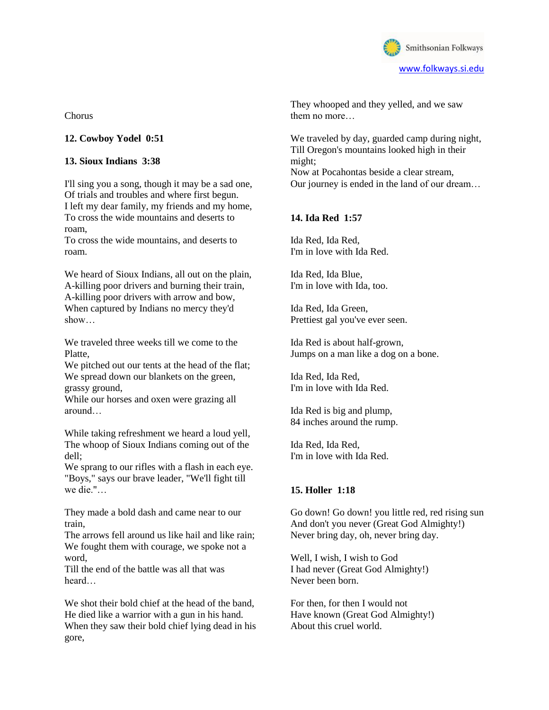

Chorus

**12. Cowboy Yodel 0:51**

## **13. Sioux Indians 3:38**

I'll sing you a song, though it may be a sad one, Of trials and troubles and where first begun. I left my dear family, my friends and my home, To cross the wide mountains and deserts to roam,

To cross the wide mountains, and deserts to roam.

We heard of Sioux Indians, all out on the plain, A-killing poor drivers and burning their train, A-killing poor drivers with arrow and bow, When captured by Indians no mercy they'd show…

We traveled three weeks till we come to the Platte,

We pitched out our tents at the head of the flat; We spread down our blankets on the green, grassy ground,

While our horses and oxen were grazing all around…

While taking refreshment we heard a loud yell, The whoop of Sioux Indians coming out of the dell;

We sprang to our rifles with a flash in each eye. "Boys," says our brave leader, "We'll fight till we die."…

They made a bold dash and came near to our train,

The arrows fell around us like hail and like rain; We fought them with courage, we spoke not a word,

Till the end of the battle was all that was heard…

We shot their bold chief at the head of the band. He died like a warrior with a gun in his hand. When they saw their bold chief lying dead in his gore,

They whooped and they yelled, and we saw them no more…

We traveled by day, guarded camp during night, Till Oregon's mountains looked high in their might; Now at Pocahontas beside a clear stream, Our journey is ended in the land of our dream…

## **14. Ida Red 1:57**

Ida Red, Ida Red, I'm in love with Ida Red.

Ida Red, Ida Blue, I'm in love with Ida, too.

Ida Red, Ida Green, Prettiest gal you've ever seen.

Ida Red is about half-grown, Jumps on a man like a dog on a bone.

Ida Red, Ida Red, I'm in love with Ida Red.

Ida Red is big and plump, 84 inches around the rump.

Ida Red, Ida Red, I'm in love with Ida Red.

## **15. Holler 1:18**

Go down! Go down! you little red, red rising sun And don't you never (Great God Almighty!) Never bring day, oh, never bring day.

Well, I wish, I wish to God I had never (Great God Almighty!) Never been born.

For then, for then I would not Have known (Great God Almighty!) About this cruel world.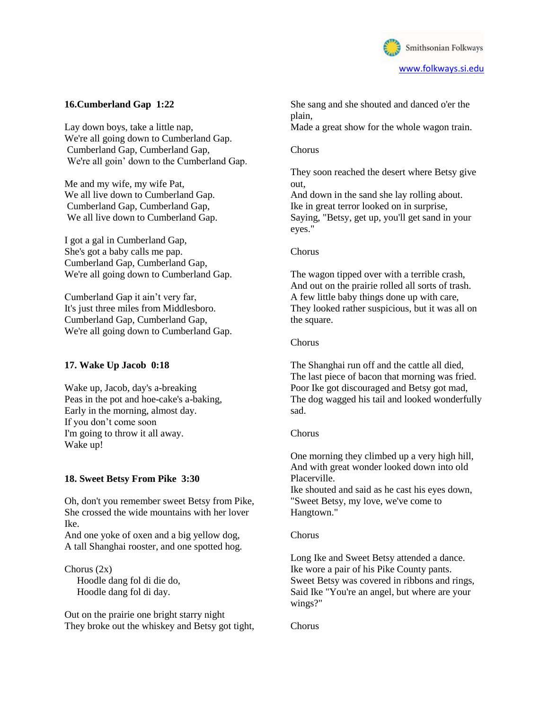

## **16.Cumberland Gap 1:22**

Lay down boys, take a little nap, We're all going down to Cumberland Gap. Cumberland Gap, Cumberland Gap, We're all goin" down to the Cumberland Gap.

Me and my wife, my wife Pat, We all live down to Cumberland Gap. Cumberland Gap, Cumberland Gap, We all live down to Cumberland Gap.

I got a gal in Cumberland Gap, She's got a baby calls me pap. Cumberland Gap, Cumberland Gap, We're all going down to Cumberland Gap.

Cumberland Gap it ain"t very far, It's just three miles from Middlesboro. Cumberland Gap, Cumberland Gap, We're all going down to Cumberland Gap.

## **17. Wake Up Jacob 0:18**

Wake up, Jacob, day's a-breaking Peas in the pot and hoe-cake's a-baking, Early in the morning, almost day. If you don"t come soon I'm going to throw it all away. Wake up!

## **18. Sweet Betsy From Pike 3:30**

Oh, don't you remember sweet Betsy from Pike, She crossed the wide mountains with her lover Ike.

And one yoke of oxen and a big yellow dog, A tall Shanghai rooster, and one spotted hog.

Chorus (2x) Hoodle dang fol di die do, Hoodle dang fol di day.

Out on the prairie one bright starry night They broke out the whiskey and Betsy got tight, She sang and she shouted and danced o'er the plain,

Made a great show for the whole wagon train.

## Chorus

They soon reached the desert where Betsy give out,

And down in the sand she lay rolling about. Ike in great terror looked on in surprise, Saying, "Betsy, get up, you'll get sand in your eyes."

## Chorus

The wagon tipped over with a terrible crash, And out on the prairie rolled all sorts of trash. A few little baby things done up with care, They looked rather suspicious, but it was all on the square.

## Chorus

The Shanghai run off and the cattle all died, The last piece of bacon that morning was fried. Poor Ike got discouraged and Betsy got mad, The dog wagged his tail and looked wonderfully sad.

## Chorus

One morning they climbed up a very high hill, And with great wonder looked down into old Placerville. Ike shouted and said as he cast his eyes down, "Sweet Betsy, my love, we've come to Hangtown."

## Chorus

Long Ike and Sweet Betsy attended a dance. Ike wore a pair of his Pike County pants. Sweet Betsy was covered in ribbons and rings, Said Ike "You're an angel, but where are your wings?"

Chorus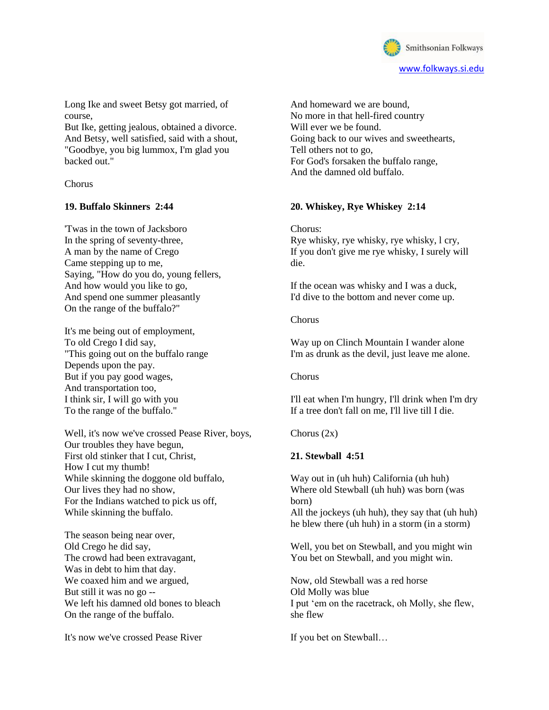

Long Ike and sweet Betsy got married, of course,

But Ike, getting jealous, obtained a divorce. And Betsy, well satisfied, said with a shout, "Goodbye, you big lummox, I'm glad you backed out."

## Chorus

## **19. Buffalo Skinners 2:44**

'Twas in the town of Jacksboro In the spring of seventy-three, A man by the name of Crego Came stepping up to me, Saying, "How do you do, young fellers, And how would you like to go, And spend one summer pleasantly On the range of the buffalo?"

It's me being out of employment, To old Crego I did say, "This going out on the buffalo range Depends upon the pay. But if you pay good wages, And transportation too, I think sir, I will go with you To the range of the buffalo."

Well, it's now we've crossed Pease River, boys, Our troubles they have begun, First old stinker that I cut, Christ, How I cut my thumb! While skinning the doggone old buffalo, Our lives they had no show, For the Indians watched to pick us off, While skinning the buffalo.

The season being near over, Old Crego he did say, The crowd had been extravagant, Was in debt to him that day. We coaxed him and we argued, But still it was no go -- We left his damned old bones to bleach On the range of the buffalo.

It's now we've crossed Pease River

And homeward we are bound, No more in that hell-fired country Will ever we be found. Going back to our wives and sweethearts, Tell others not to go, For God's forsaken the buffalo range, And the damned old buffalo.

## **20. Whiskey, Rye Whiskey 2:14**

Chorus: Rye whisky, rye whisky, rye whisky, l cry, If you don't give me rye whisky, I surely will die.

If the ocean was whisky and I was a duck, I'd dive to the bottom and never come up.

## Chorus

Way up on Clinch Mountain I wander alone I'm as drunk as the devil, just leave me alone.

Chorus

I'll eat when I'm hungry, I'll drink when I'm dry If a tree don't fall on me, I'll live till I die.

Chorus (2x)

## **21. Stewball 4:51**

Way out in (uh huh) California (uh huh) Where old Stewball (uh huh) was born (was born)

All the jockeys (uh huh), they say that (uh huh) he blew there (uh huh) in a storm (in a storm)

Well, you bet on Stewball, and you might win You bet on Stewball, and you might win.

Now, old Stewball was a red horse Old Molly was blue I put "em on the racetrack, oh Molly, she flew, she flew

If you bet on Stewball…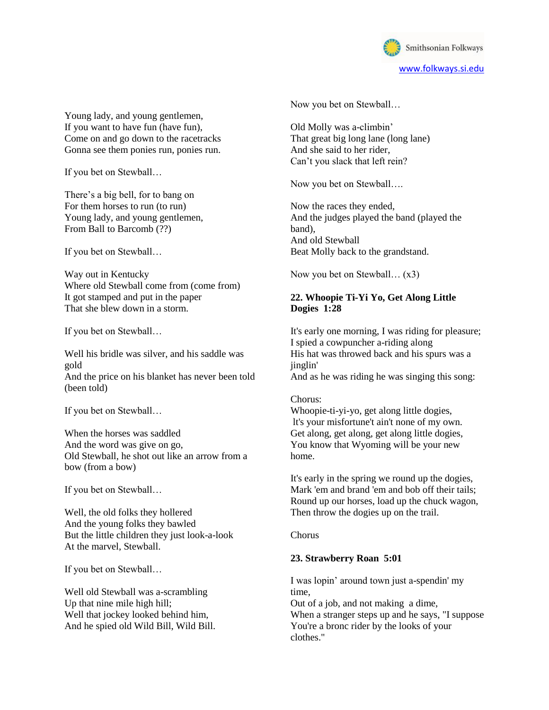

Young lady, and young gentlemen, If you want to have fun (have fun), Come on and go down to the racetracks Gonna see them ponies run, ponies run.

If you bet on Stewball…

There's a big bell, for to bang on For them horses to run (to run) Young lady, and young gentlemen, From Ball to Barcomb (??)

If you bet on Stewball…

Way out in Kentucky Where old Stewball come from (come from) It got stamped and put in the paper That she blew down in a storm.

If you bet on Stewball…

Well his bridle was silver, and his saddle was gold And the price on his blanket has never been told (been told)

If you bet on Stewball…

When the horses was saddled And the word was give on go, Old Stewball, he shot out like an arrow from a bow (from a bow)

If you bet on Stewball…

Well, the old folks they hollered And the young folks they bawled But the little children they just look-a-look At the marvel, Stewball.

If you bet on Stewball…

Well old Stewball was a-scrambling Up that nine mile high hill; Well that jockey looked behind him, And he spied old Wild Bill, Wild Bill. Now you bet on Stewball…

Old Molly was a-climbin" That great big long lane (long lane) And she said to her rider, Can"t you slack that left rein?

Now you bet on Stewball….

Now the races they ended, And the judges played the band (played the band), And old Stewball Beat Molly back to the grandstand.

Now you bet on Stewball… (x3)

## **22. Whoopie Ti-Yi Yo, Get Along Little Dogies 1:28**

It's early one morning, I was riding for pleasure; I spied a cowpuncher a-riding along His hat was throwed back and his spurs was a jinglin' And as he was riding he was singing this song:

## Chorus:

Whoopie-ti-yi-yo, get along little dogies, lt's your misfortune't ain't none of my own. Get along, get along, get along little dogies, You know that Wyoming will be your new home.

It's early in the spring we round up the dogies, Mark 'em and brand 'em and bob off their tails; Round up our horses, load up the chuck wagon, Then throw the dogies up on the trail.

## Chorus

## **23. Strawberry Roan 5:01**

I was lopin" around town just a-spendin' my time,

Out of a job, and not making a dime, When a stranger steps up and he says, "I suppose You're a bronc rider by the looks of your clothes."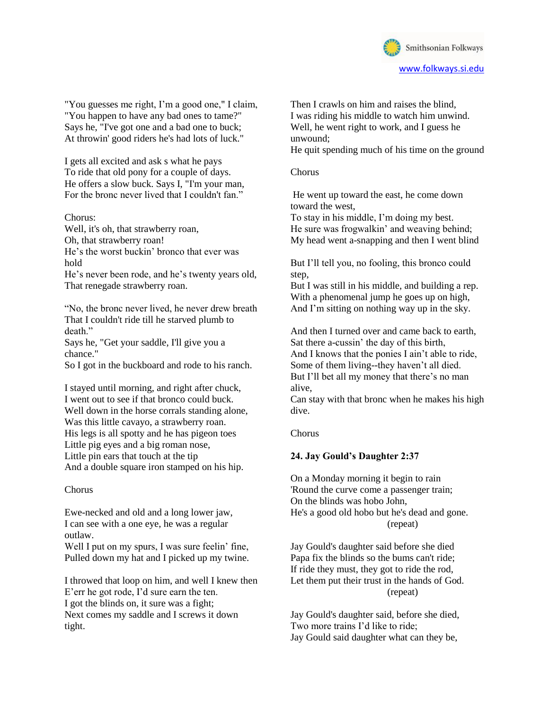

"You guesses me right, I"m a good one," I claim, "You happen to have any bad ones to tame?" Says he, "I've got one and a bad one to buck; At throwin' good riders he's had lots of luck."

I gets all excited and ask s what he pays To ride that old pony for a couple of days. He offers a slow buck. Says I, "I'm your man, For the bronc never lived that I couldn't fan."

## Chorus:

Well, it's oh, that strawberry roan, Oh, that strawberry roan! He's the worst buckin' bronco that ever was hold

He's never been rode, and he's twenty years old, That renegade strawberry roan.

"No, the bronc never lived, he never drew breath That I couldn't ride till he starved plumb to death."

Says he, "Get your saddle, I'll give you a chance."

So I got in the buckboard and rode to his ranch.

I stayed until morning, and right after chuck, I went out to see if that bronco could buck. Well down in the horse corrals standing alone, Was this little cavayo, a strawberry roan. His legs is all spotty and he has pigeon toes Little pig eyes and a big roman nose, Little pin ears that touch at the tip And a double square iron stamped on his hip.

## Chorus

Ewe-necked and old and a long lower jaw, I can see with a one eye, he was a regular outlaw.

Well I put on my spurs, I was sure feelin' fine, Pulled down my hat and I picked up my twine.

I throwed that loop on him, and well I knew then E'err he got rode, I'd sure earn the ten. I got the blinds on, it sure was a fight; Next comes my saddle and I screws it down tight.

Then I crawls on him and raises the blind, I was riding his middle to watch him unwind. Well, he went right to work, and I guess he unwound;

He quit spending much of his time on the ground

### Chorus

He went up toward the east, he come down toward the west,

To stay in his middle, I"m doing my best. He sure was frogwalkin' and weaving behind; My head went a-snapping and then I went blind

But I"ll tell you, no fooling, this bronco could step,

But I was still in his middle, and building a rep. With a phenomenal jump he goes up on high, And I'm sitting on nothing way up in the sky.

And then I turned over and came back to earth, Sat there a-cussin" the day of this birth, And I knows that the ponies I ain"t able to ride, Some of them living--they haven't all died. But I'll bet all my money that there's no man alive,

Can stay with that bronc when he makes his high dive.

## Chorus

## **24. Jay Gould's Daughter 2:37**

On a Monday morning it begin to rain 'Round the curve come a passenger train; On the blinds was hobo John, He's a good old hobo but he's dead and gone. (repeat)

Jay Gould's daughter said before she died Papa fix the blinds so the bums can't ride; If ride they must, they got to ride the rod, Let them put their trust in the hands of God. (repeat)

Jay Gould's daughter said, before she died, Two more trains I"d like to ride; Jay Gould said daughter what can they be,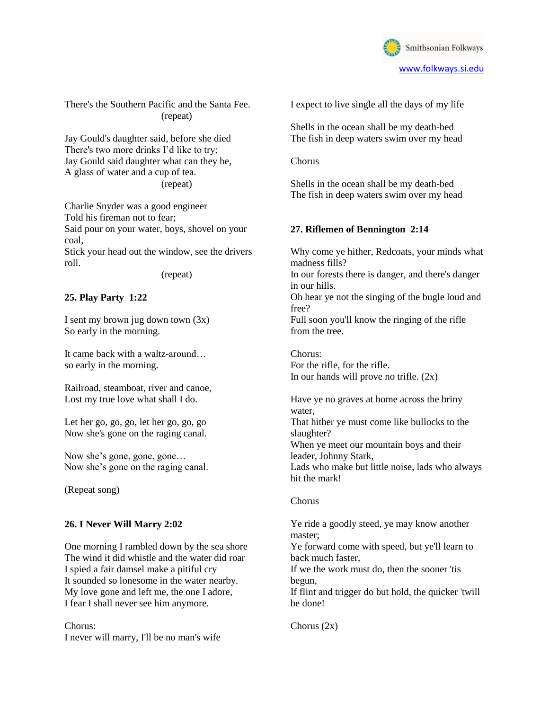

There's the Southern Pacific and the Santa Fee. (repeat)

Jay Gould's daughter said, before she died There's two more drinks I"d like to try; Jay Gould said daughter what can they be, A glass of water and a cup of tea. (repeat)

Charlie Snyder was a good engineer Told his fireman not to fear; Said pour on your water, boys, shovel on your coal,

Stick your head out the window, see the drivers roll.

(repeat)

## **25. Play Party 1:22**

I sent my brown jug down town (3x) So early in the morning.

It came back with a waltz-around… so early in the morning.

Railroad, steamboat, river and canoe, Lost my true love what shall I do.

Let her go, go, go, let her go, go, go Now she's gone on the raging canal.

Now she's gone, gone, gone... Now she"s gone on the raging canal.

(Repeat song)

## **26. I Never Will Marry 2:02**

One morning I rambled down by the sea shore The wind it did whistle and the water did roar I spied a fair damsel make a pitiful cry It sounded so lonesome in the water nearby. My love gone and left me, the one I adore, I fear I shall never see him anymore.

Chorus: I never will marry, I'll be no man's wife I expect to live single all the days of my life

Shells in the ocean shall be my death-bed The fish in deep waters swim over my head

Chorus

Shells in the ocean shall be my death-bed The fish in deep waters swim over my head

## **27. Riflemen of Bennington 2:14**

Why come ye hither, Redcoats, your minds what madness fills?

In our forests there is danger, and there's danger in our hills.

Oh hear ye not the singing of the bugle loud and free?

Full soon you'll know the ringing of the rifle from the tree.

Chorus: For the rifle, for the rifle. In our hands will prove no trifle.  $(2x)$ 

Have ye no graves at home across the briny water, That hither ye must come like bullocks to the slaughter? When ye meet our mountain boys and their leader, Johnny Stark, Lads who make but little noise, lads who always hit the mark!

## Chorus

Ye ride a goodly steed, ye may know another master; Ye forward come with speed, but ye'll learn to

back much faster, If we the work must do, then the sooner 'tis begun,

If flint and trigger do but hold, the quicker 'twill be done!

Chorus (2x)